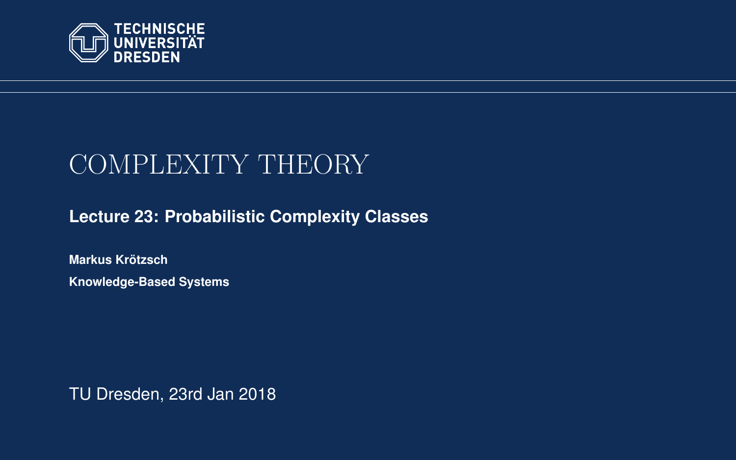<span id="page-0-0"></span>

# COMPLEXITY THEORY

**[Lecture 23: Probabilistic Complexity Classes](https://iccl.inf.tu-dresden.de/web/Complexity_Theory_(WS2017/18))**

**[Markus Krotzsch](https://iccl.inf.tu-dresden.de/web/Markus_Kr%C3%B6tzsch/en) ¨ Knowledge-Based Systems**

TU Dresden, 23rd Jan 2018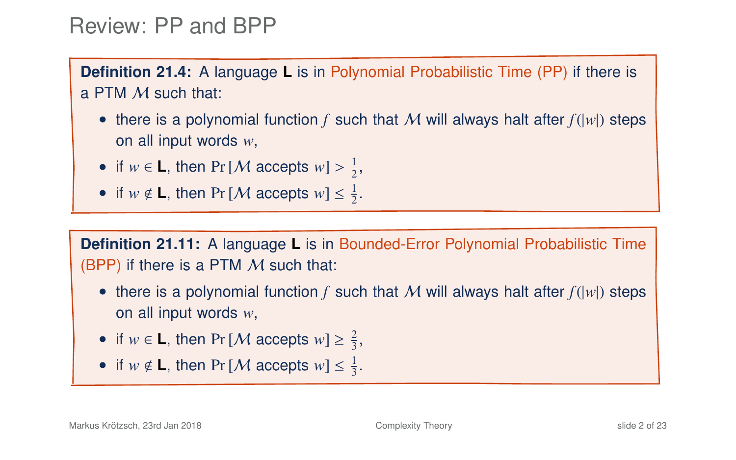### Review: PP and BPP

**Definition 21.4:** A language **L** is in Polynomial Probabilistic Time (PP) if there is a PTM M such that:

- there is a polynomial function  $f$  such that  $M$  will always halt after  $f(|w|)$  steps on all input words *w*,
- if  $w \in L$ , then Pr [*M* accepts  $w$ ] >  $\frac{1}{2}$ ,
- if  $w \notin L$ , then Pr [*M* accepts  $w \leq \frac{1}{2}$ .

**Definition 21.11:** A language **L** is in Bounded-Error Polynomial Probabilistic Time (BPP) if there is a PTM  $M$  such that:

- there is a polynomial function  $f$  such that  $M$  will always halt after  $f(|w|)$  steps on all input words *w*,
- if  $w \in L$ , then Pr [*M* accepts  $w \geq \frac{2}{3}$ ,
- if  $w \notin L$ , then Pr [*M* accepts  $w \leq \frac{1}{3}$ .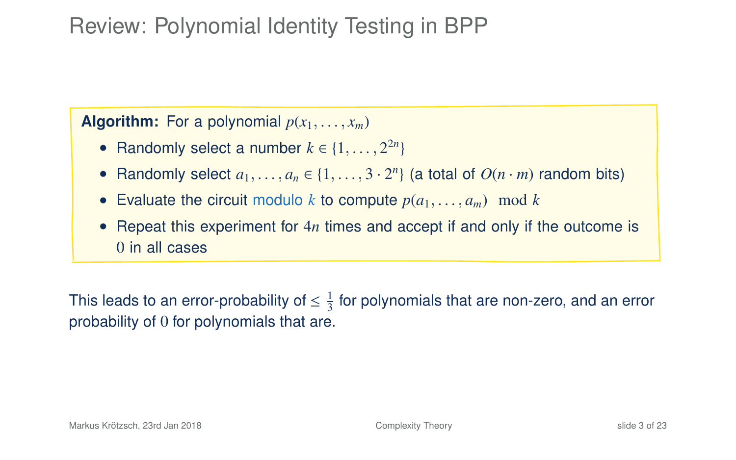# Review: Polynomial Identity Testing in BPP

**Algorithm:** For a polynomial  $p(x_1, \ldots, x_m)$ 

- Randomly select a number  $k \in \{1, \ldots, 2^{2n}\}\$
- Randomly select  $a_1, \ldots, a_n \in \{1, \ldots, 3 \cdot 2^n\}$  (a total of  $O(n \cdot m)$  random bits)
- Evaluate the circuit modulo *k* to compute  $p(a_1, \ldots, a_m)$  mod *k*
- Repeat this experiment for 4*n* times and accept if and only if the outcome is 0 in all cases

This leads to an error-probability of  $\leq \frac{1}{3}$  for polynomials that are non-zero, and an error probability of 0 for polynomials that are.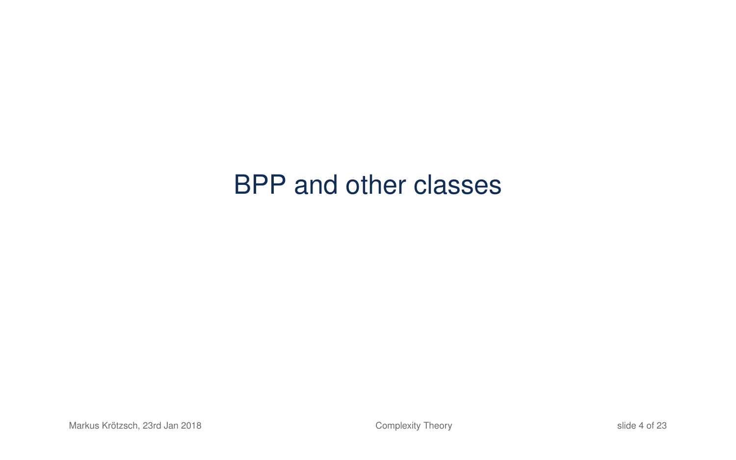# BPP and other classes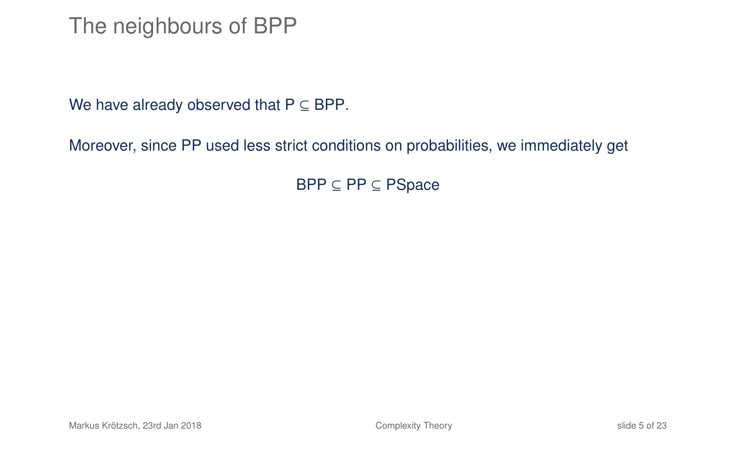### The neighbours of BPP

We have already observed that  $P \subseteq BPP$ .

Moreover, since PP used less strict conditions on probabilities, we immediately get

<span id="page-4-0"></span>BPP ⊆ PP ⊆ PSpace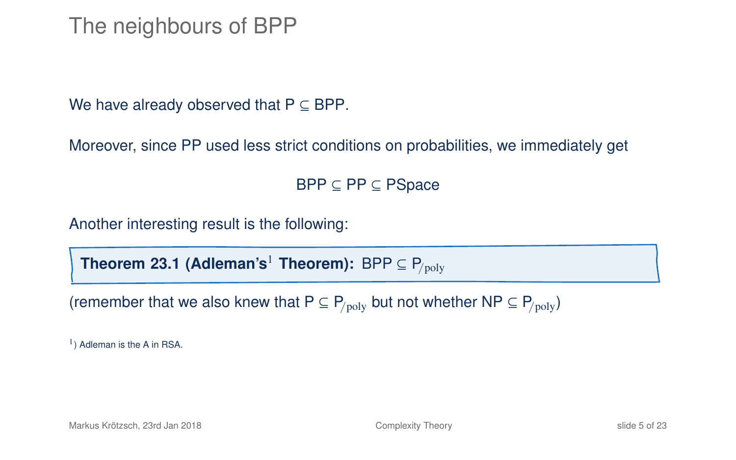### The neighbours of BPP

We have already observed that  $P \subseteq BPP$ .

Moreover, since PP used less strict conditions on probabilities, we immediately get

BPP ⊆ PP ⊆ PSpace

Another interesting result is the following:

**Theorem 23.1 (Adleman's<sup>1</sup> Theorem):** BPP  $\subseteq$  P<sub>/poly</sub>

(remember that we also knew that  $P \subseteq P_{\text{poly}}$  but not whether NP  $\subseteq P_{\text{poly}}$ )

<sup>1</sup>) Adleman is the A in RSA.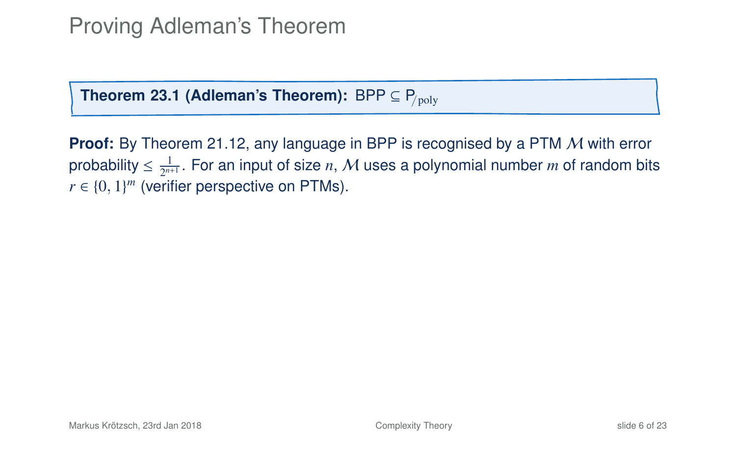**Theorem 23[.1](#page-4-0) (Adleman's Theorem):** BPP  $\subseteq$  P<sub>/poly</sub>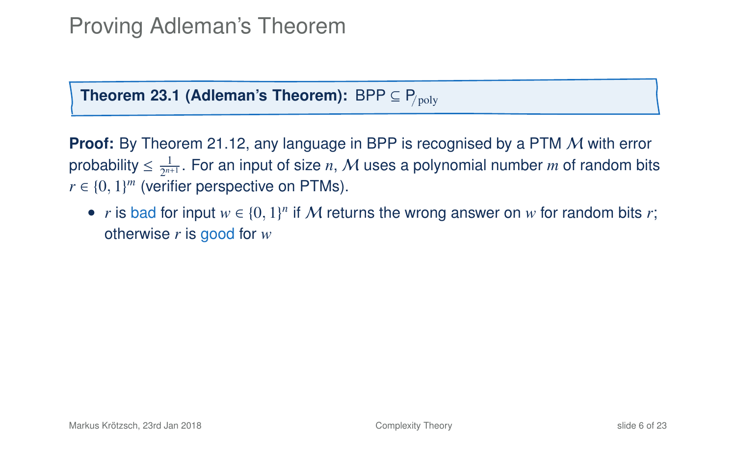**Theorem 23[.1](#page-4-0) (Adleman's Theorem):** BPP  $\subseteq$  P<sub>/poly</sub>

**Proof:** By Theorem 21.12, any language in BPP is recognised by a PTM M with error probability  $\leq \frac{1}{2^{n+1}}$ . For an input of size  $n,$   ${\mathcal M}$  uses a polynomial number  $m$  of random bits  $r \in \{0, 1\}^m$  (verifier perspective on PTMs).

• *r* is bad for input  $w \in \{0, 1\}^n$  if M returns the wrong answer on *w* for random bits *r*; otherwise *r* is good for *w*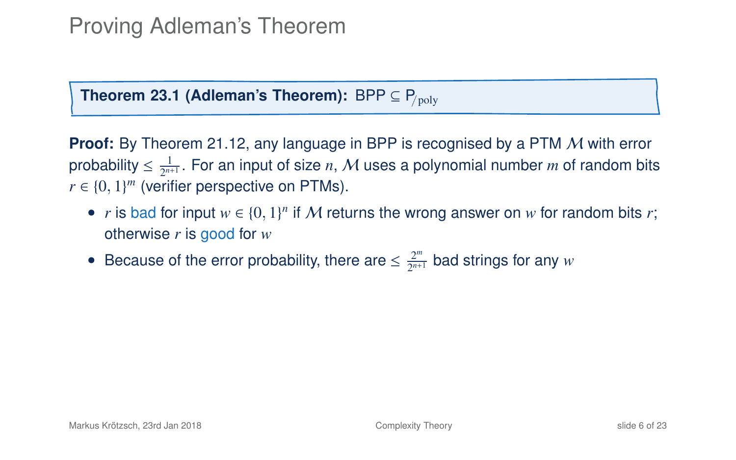**Theorem 23[.1](#page-4-0) (Adleman's Theorem):** BPP  $\subseteq$  P<sub>/poly</sub>

- *r* is bad for input  $w \in \{0, 1\}^n$  if M returns the wrong answer on *w* for random bits *r*; otherwise *r* is good for *w*
- Because of the error probability, there are  $\leq \frac{2^m}{2^m}$  $\frac{2^m}{2^{n+1}}$  bad strings for any *w*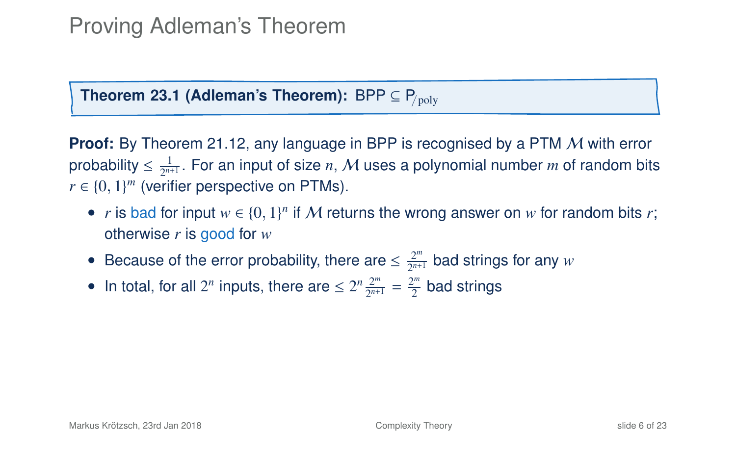**Theorem 23[.1](#page-4-0) (Adleman's Theorem):** BPP  $\subseteq$  P<sub>/poly</sub>

- *r* is bad for input  $w \in \{0, 1\}^n$  if M returns the wrong answer on *w* for random bits *r*; otherwise *r* is good for *w*
- Because of the error probability, there are  $\leq \frac{2^m}{2^m}$  $\frac{2^m}{2^{n+1}}$  bad strings for any *w*
- In total, for all  $2^n$  inputs, there are  $\leq 2^n \frac{2^m}{2^{n+1}}$  $\frac{2^m}{2^{n+1}} = \frac{2^m}{2}$  $\frac{2\pi}{2}$  bad strings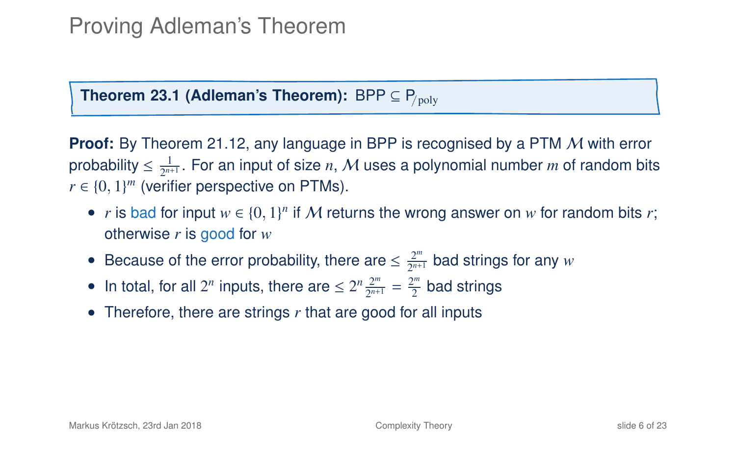**Theorem 23[.1](#page-4-0) (Adleman's Theorem):** BPP  $\subseteq$  P<sub>/poly</sub>

- *r* is bad for input  $w \in \{0, 1\}^n$  if M returns the wrong answer on *w* for random bits *r*; otherwise *r* is good for *w*
- Because of the error probability, there are  $\leq \frac{2^m}{2^m}$  $\frac{2^m}{2^{n+1}}$  bad strings for any *w*
- In total, for all  $2^n$  inputs, there are  $\leq 2^n \frac{2^m}{2^{n+1}}$  $\frac{2^m}{2^{n+1}} = \frac{2^m}{2}$  $\frac{2\pi}{2}$  bad strings
- Therefore, there are strings *r* that are good for all inputs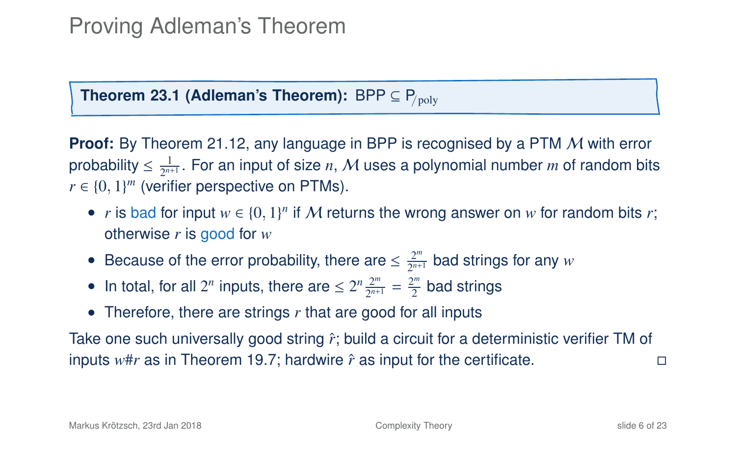**Theorem 23[.1](#page-4-0) (Adleman's Theorem):** BPP  $\subseteq$  P<sub>/poly</sub>

**Proof:** By Theorem 21.12, any language in BPP is recognised by a PTM M with error probability  $\leq \frac{1}{2^{n+1}}$ . For an input of size  $n,$   ${\mathcal M}$  uses a polynomial number  $m$  of random bits  $r \in \{0, 1\}^m$  (verifier perspective on PTMs).

- *r* is bad for input  $w \in \{0, 1\}^n$  if M returns the wrong answer on *w* for random bits *r*; otherwise *r* is good for *w*
- Because of the error probability, there are  $\leq \frac{2^m}{2^m}$  $\frac{2^m}{2^{n+1}}$  bad strings for any *w*
- In total, for all  $2^n$  inputs, there are  $\leq 2^n \frac{2^m}{2^{n+1}}$  $\frac{2^m}{2^{n+1}} = \frac{2^m}{2}$  $\frac{2\pi}{2}$  bad strings
- Therefore, there are strings r that are good for all inputs

Take one such universally good string  $\hat{r}$ ; build a circuit for a deterministic verifier TM of inputs *w*#*r* as in Theorem 19.7; hardwire *r*ˆ as input for the certificate.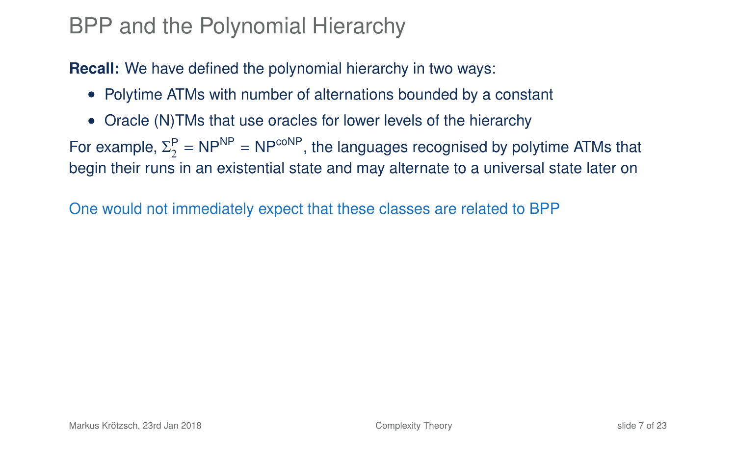### BPP and the Polynomial Hierarchy

**Recall:** We have defined the polynomial hierarchy in two ways:

- Polytime ATMs with number of alternations bounded by a constant
- Oracle (N)TMs that use oracles for lower levels of the hierarchy

For example,  $\Sigma_2^P = NP^{NP} = NP^{coNP}$ , the languages recognised by polytime ATMs that begin their runs in an existential state and may alternate to a universal state later on

<span id="page-12-0"></span>One would not immediately expect that these classes are related to BPP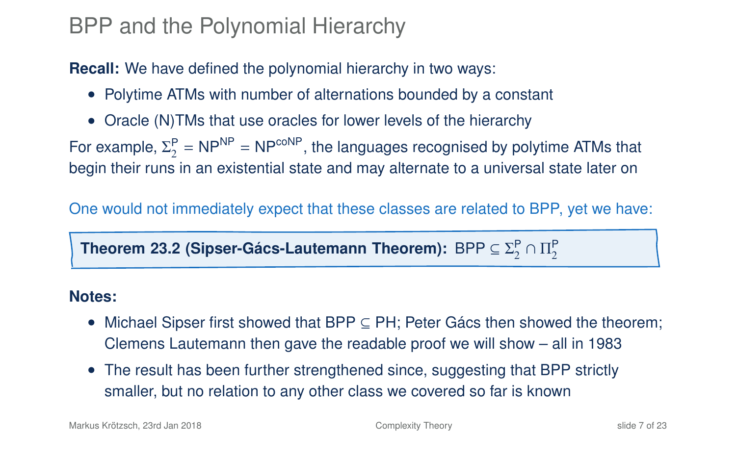### BPP and the Polynomial Hierarchy

**Recall:** We have defined the polynomial hierarchy in two ways:

- Polytime ATMs with number of alternations bounded by a constant
- Oracle (N)TMs that use oracles for lower levels of the hierarchy

For example,  $\Sigma_2^P = NP^{NP} = NP^{coNP}$ , the languages recognised by polytime ATMs that begin their runs in an existential state and may alternate to a universal state later on

One would not immediately expect that these classes are related to BPP, yet we have:

Theorem 23.2 (Sipser-Gács-Lautemann Theorem):  $\mathsf{BPP} \subseteq \Sigma^\mathsf{P}_2 \cap \Pi^\mathsf{P}_2$ 

#### **Notes:**

- Michael Sipser first showed that BPP ⊆ PH; Peter Gács then showed the theorem; Clemens Lautemann then gave the readable proof we will show – all in 1983
- The result has been further strengthened since, suggesting that BPP strictly smaller, but no relation to any other class we covered so far is known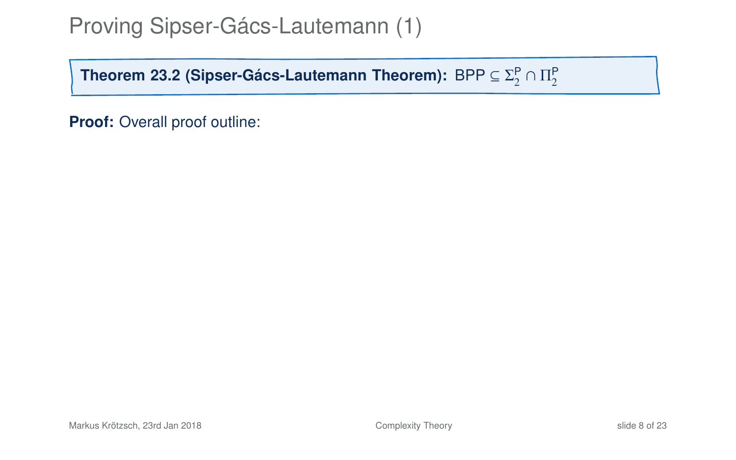**Theorem 23[.2](#page-12-0) (Sipser-Gács-Lautemann Theorem):**  $\mathsf{BPP} \subseteq \Sigma^\mathsf{P}_2 \cap \Pi^\mathsf{P}_2$ 

**Proof:** Overall proof outline: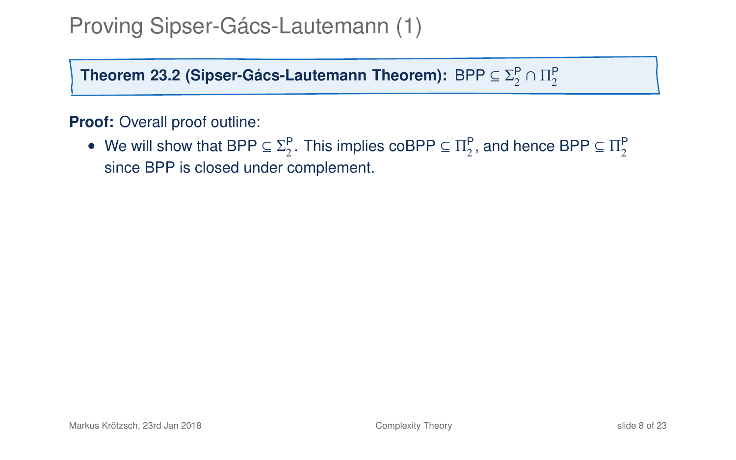**Theorem 23[.2](#page-12-0) (Sipser-Gács-Lautemann Theorem):**  $\mathsf{BPP} \subseteq \Sigma^\mathsf{P}_2 \cap \Pi^\mathsf{P}_2$ 

#### **Proof:** Overall proof outline:

• We will show that BPP  $\subseteq \Sigma_2^P$ . This implies coBPP  $\subseteq \Pi_2^P$ , and hence BPP  $\subseteq \Pi_2^P$ since BPP is closed under complement.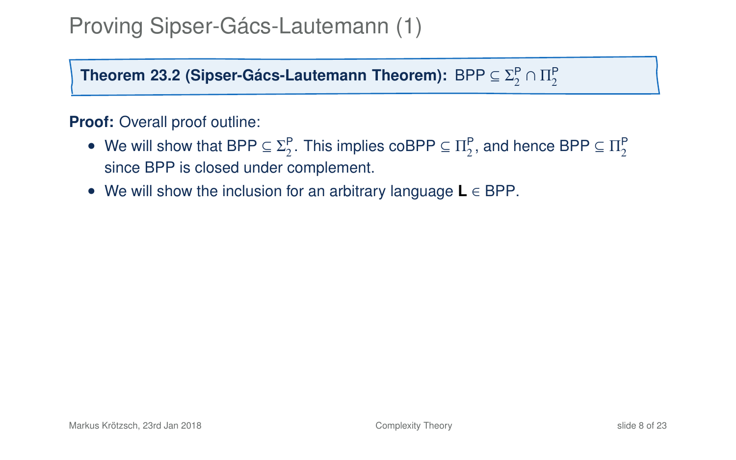**Theorem 23[.2](#page-12-0) (Sipser-Gács-Lautemann Theorem):**  $\mathsf{BPP} \subseteq \Sigma^\mathsf{P}_2 \cap \Pi^\mathsf{P}_2$ 

#### **Proof:** Overall proof outline:

- We will show that BPP  $\subseteq \Sigma_2^P$ . This implies coBPP  $\subseteq \Pi_2^P$ , and hence BPP  $\subseteq \Pi_2^P$ since BPP is closed under complement.
- We will show the inclusion for an arbitrary language **L** ∈ BPP.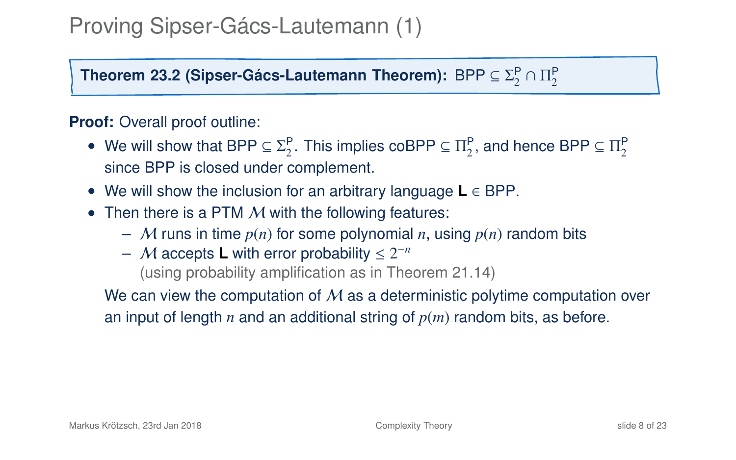**Theorem 23[.2](#page-12-0) (Sipser-Gács-Lautemann Theorem):**  $\mathsf{BPP} \subseteq \Sigma^\mathsf{P}_2 \cap \Pi^\mathsf{P}_2$ 

#### **Proof:** Overall proof outline:

- We will show that BPP  $\subseteq \Sigma_2^P$ . This implies coBPP  $\subseteq \Pi_2^P$ , and hence BPP  $\subseteq \Pi_2^P$ since BPP is closed under complement.
- We will show the inclusion for an arbitrary language **L** ∈ BPP.
- Then there is a PTM  $M$  with the following features:
	- M runs in time  $p(n)$  for some polynomial *n*, using  $p(n)$  random bits
	- $-$  *M* accepts **L** with error probability  $\leq 2^{-n}$

(using probability amplification as in Theorem 21.14)

We can view the computation of  $M$  as a deterministic polytime computation over an input of length *n* and an additional string of *p*(*m*) random bits, as before.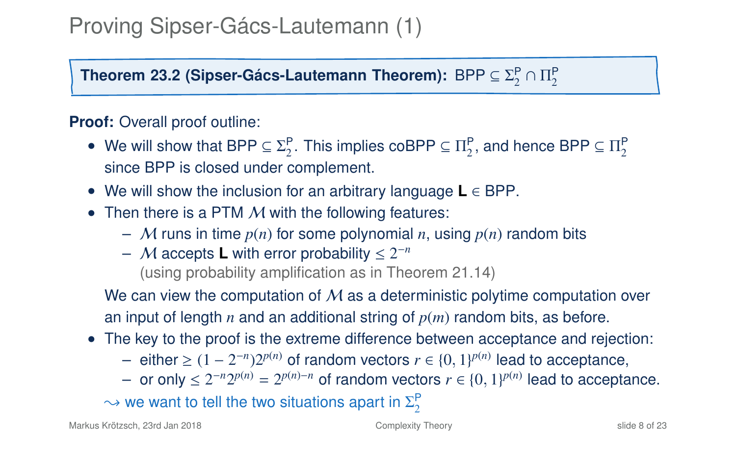**Theorem 23[.2](#page-12-0) (Sipser-Gács-Lautemann Theorem):**  $\mathsf{BPP} \subseteq \Sigma^\mathsf{P}_2 \cap \Pi^\mathsf{P}_2$ 

#### **Proof:** Overall proof outline:

- We will show that BPP  $\subseteq \Sigma_2^P$ . This implies coBPP  $\subseteq \Pi_2^P$ , and hence BPP  $\subseteq \Pi_2^P$ since BPP is closed under complement.
- We will show the inclusion for an arbitrary language **L** ∈ BPP.
- Then there is a PTM  $M$  with the following features:
	- M runs in time  $p(n)$  for some polynomial *n*, using  $p(n)$  random bits
	- $-$  *M* accepts **L** with error probability  $\leq 2^{-n}$

(using probability amplification as in Theorem 21.14)

We can view the computation of  $M$  as a deterministic polytime computation over an input of length *n* and an additional string of *p*(*m*) random bits, as before.

- The key to the proof is the extreme difference between acceptance and rejection:
	- $-$  either ≥  $(1 2^{-n})2^{p(n)}$  of random vectors  $r \in \{0, 1\}^{p(n)}$  lead to acceptance,
	- *−* or only ≤  $2^{-n}2^{p(n)} = 2^{p(n)-n}$  of random vectors  $r \in \{0, 1\}^{p(n)}$  lead to acceptance.

 $\rightsquigarrow$  we want to tell the two situations apart in  $\Sigma^\mathsf{P}_2$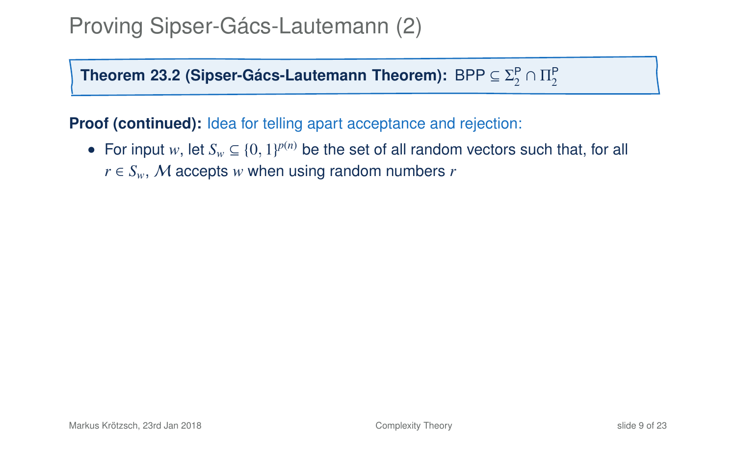**Theorem 23[.2](#page-12-0) (Sipser-Gács-Lautemann Theorem):**  $\mathsf{BPP} \subseteq \Sigma^\mathsf{P}_2 \cap \Pi^\mathsf{P}_2$ 

**Proof (continued):** Idea for telling apart acceptance and rejection:

• For input *w*, let  $S_w \subseteq \{0, 1\}^{p(n)}$  be the set of all random vectors such that, for all  $r \in S_w$ , M accepts *w* when using random numbers *r*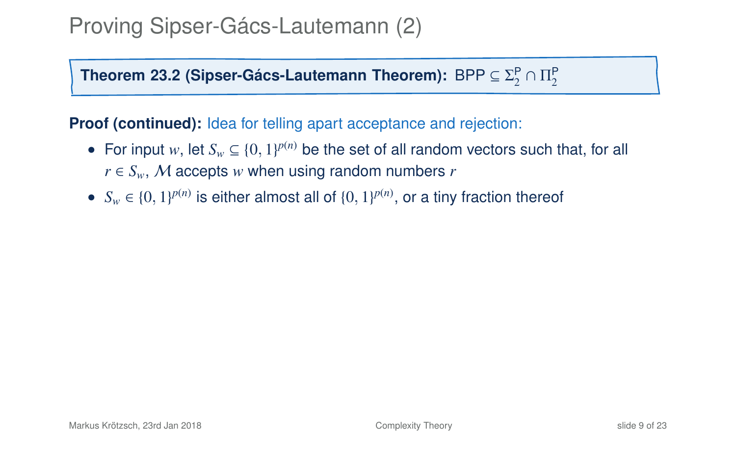**Theorem 23[.2](#page-12-0) (Sipser-Gács-Lautemann Theorem):**  $\mathsf{BPP} \subseteq \Sigma^\mathsf{P}_2 \cap \Pi^\mathsf{P}_2$ 

**Proof (continued):** Idea for telling apart acceptance and rejection:

- For input *w*, let  $S_w \subseteq \{0, 1\}^{p(n)}$  be the set of all random vectors such that, for all  $r \in S_w$ , M accepts *w* when using random numbers *r*
- $S_w \in \{0, 1\}^{p(n)}$  is either almost all of  $\{0, 1\}^{p(n)}$ , or a tiny fraction thereof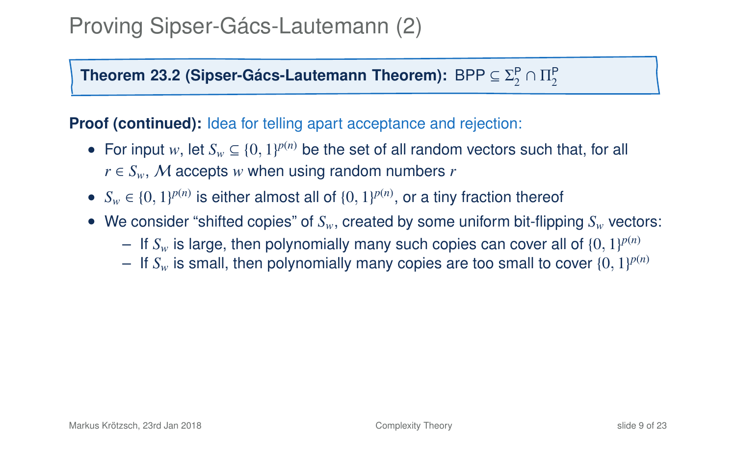**Theorem 23[.2](#page-12-0) (Sipser-Gács-Lautemann Theorem):**  $\mathsf{BPP} \subseteq \Sigma^\mathsf{P}_2 \cap \Pi^\mathsf{P}_2$ 

**Proof (continued):** Idea for telling apart acceptance and rejection:

- For input *w*, let  $S_w \subseteq \{0, 1\}^{p(n)}$  be the set of all random vectors such that, for all  $r \in S_w$ , M accepts *w* when using random numbers *r*
- $S_w \in \{0, 1\}^{p(n)}$  is either almost all of  $\{0, 1\}^{p(n)}$ , or a tiny fraction thereof
- We consider "shifted copies" of *S<sub>w</sub>*, created by some uniform bit-flipping *S<sub>w</sub>* vectors:
	- $-$  If  $S_w$  is large, then polynomially many such copies can cover all of  $\{0, 1\}^{p(n)}$
	- $-$  If  $S_w$  is small, then polynomially many copies are too small to cover  $\{0, 1\}^{p(n)}$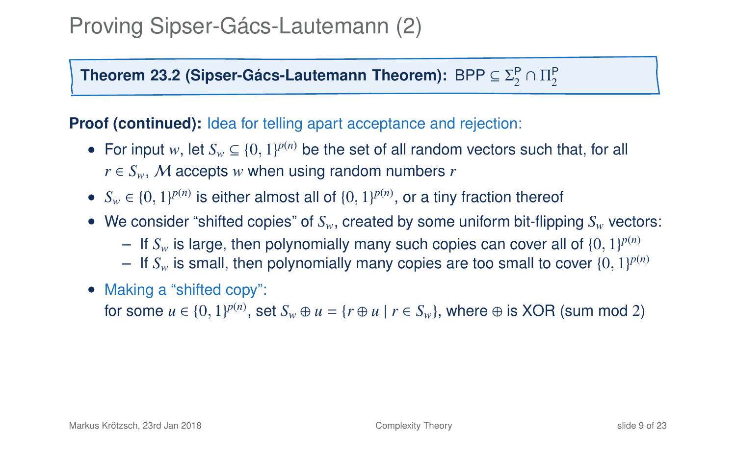**Theorem 23[.2](#page-12-0) (Sipser-Gács-Lautemann Theorem):**  $\mathsf{BPP} \subseteq \Sigma^\mathsf{P}_2 \cap \Pi^\mathsf{P}_2$ 

**Proof (continued):** Idea for telling apart acceptance and rejection:

- For input *w*, let  $S_w \subseteq \{0, 1\}^{p(n)}$  be the set of all random vectors such that, for all  $r \in S_w$ , M accepts *w* when using random numbers *r*
- $S_w \in \{0, 1\}^{p(n)}$  is either almost all of  $\{0, 1\}^{p(n)}$ , or a tiny fraction thereof
- We consider "shifted copies" of *S<sub>w</sub>*, created by some uniform bit-flipping *S<sub>w</sub>* vectors:
	- $-$  If  $S_w$  is large, then polynomially many such copies can cover all of  $\{0, 1\}^{p(n)}$
	- $-$  If  $S_w$  is small, then polynomially many copies are too small to cover  $\{0, 1\}^{p(n)}$
- Making a "shifted copy":

for some  $u \in \{0, 1\}^{p(n)}$ , set  $S_w \oplus u = \{r \oplus u \mid r \in S_w\}$ , where  $\oplus$  is XOR (sum mod 2)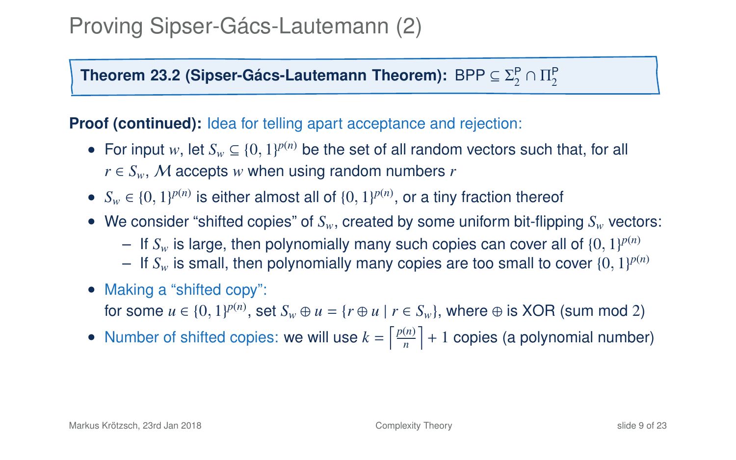**Theorem 23[.2](#page-12-0) (Sipser-Gács-Lautemann Theorem):**  $\mathsf{BPP} \subseteq \Sigma^\mathsf{P}_2 \cap \Pi^\mathsf{P}_2$ 

**Proof (continued):** Idea for telling apart acceptance and rejection:

- For input *w*, let  $S_w \subseteq \{0, 1\}^{p(n)}$  be the set of all random vectors such that, for all  $r \in S_w$ , M accepts *w* when using random numbers *r*
- $S_w \in \{0, 1\}^{p(n)}$  is either almost all of  $\{0, 1\}^{p(n)}$ , or a tiny fraction thereof
- We consider "shifted copies" of *S<sub>w</sub>*, created by some uniform bit-flipping *S<sub>w</sub>* vectors:
	- $-$  If  $S_w$  is large, then polynomially many such copies can cover all of  $\{0, 1\}^{p(n)}$
	- $-$  If  $S_w$  is small, then polynomially many copies are too small to cover  $\{0, 1\}^{p(n)}$
- Making a "shifted copy": for some  $u \in \{0, 1\}^{p(n)}$ , set  $S_w \oplus u = \{r \oplus u \mid r \in S_w\}$ , where  $\oplus$  is XOR (sum mod 2)
- Number of shifted copies: we will use  $k = \left\lceil \frac{p(n)}{n} \right\rceil$  $\left\lfloor \frac{(n)}{n} \right\rfloor + 1$  copies (a polynomial number)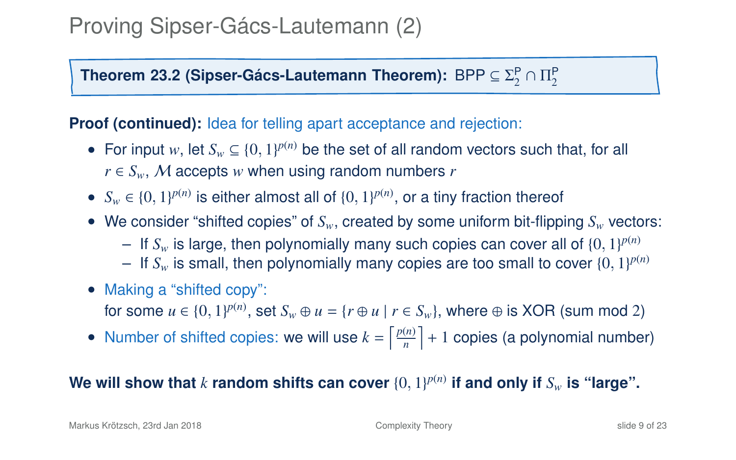**Theorem 23[.2](#page-12-0) (Sipser-Gács-Lautemann Theorem):**  $\mathsf{BPP} \subseteq \Sigma^\mathsf{P}_2 \cap \Pi^\mathsf{P}_2$ 

**Proof (continued):** Idea for telling apart acceptance and rejection:

- For input *w*, let  $S_w \subseteq \{0, 1\}^{p(n)}$  be the set of all random vectors such that, for all  $r \in S_w$ , M accepts *w* when using random numbers *r*
- $S_w \in \{0, 1\}^{p(n)}$  is either almost all of  $\{0, 1\}^{p(n)}$ , or a tiny fraction thereof
- We consider "shifted copies" of *Sw*, created by some uniform bit-flipping *S<sup>w</sup>* vectors:
	- $-$  If  $S_w$  is large, then polynomially many such copies can cover all of  $\{0, 1\}^{p(n)}$
	- $-$  If  $S_w$  is small, then polynomially many copies are too small to cover  $\{0, 1\}^{p(n)}$
- Making a "shifted copy": for some  $u \in \{0, 1\}^{p(n)}$ , set  $S_w \oplus u = \{r \oplus u \mid r \in S_w\}$ , where  $\oplus$  is XOR (sum mod 2)
- Number of shifted copies: we will use  $k = \left\lceil \frac{p(n)}{n} \right\rceil$  $\left\lfloor \frac{(n)}{n} \right\rfloor + 1$  copies (a polynomial number)

We will show that  $k$  random shifts can cover  $\{0, 1\}^{p(n)}$  if and only if  $S_w$  is "large".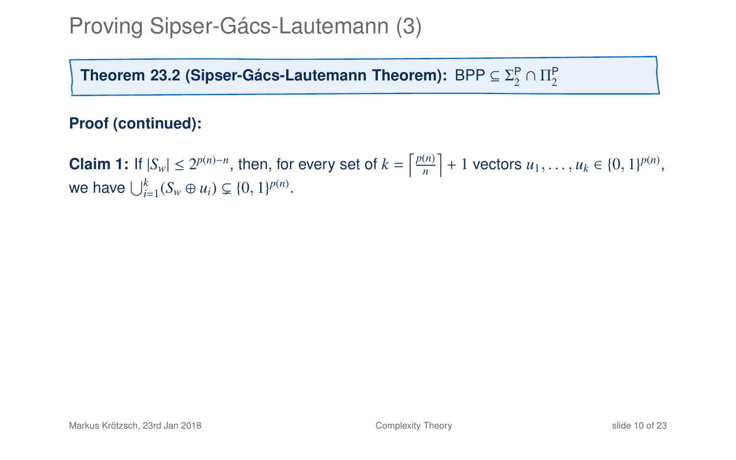Theorem 23[.2](#page-12-0) (Sipser-Gács-Lautemann Theorem):  $\mathsf{BPP} \subseteq \Sigma^\mathsf{P}_2 \cap \Pi^\mathsf{P}_2$ 

#### **Proof (continued):**

**Claim 1:** If  $|S_w| \le 2^{p(n)-n}$ , then, for every set of  $k = \left\lceil \frac{p(n)}{n} \right\rceil$  $\left[\frac{(n)}{n}\right]$  + 1 vectors  $u_1, \ldots, u_k \in \{0, 1\}^{p(n)}$ , we have  $\bigcup_{i=1}^{k} (S_w \oplus u_i) \subsetneq \{0, 1\}^{p(n)}$ .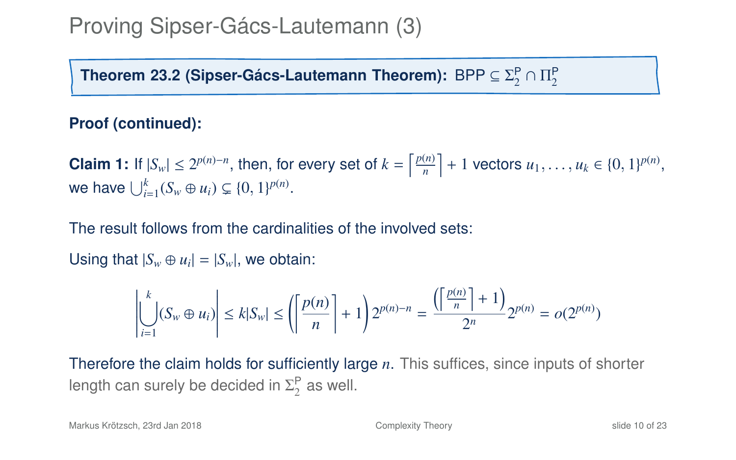Theorem 23[.2](#page-12-0) (Sipser-Gács-Lautemann Theorem):  $\mathsf{BPP} \subseteq \Sigma^\mathsf{P}_2 \cap \Pi^\mathsf{P}_2$ 

#### **Proof (continued):**

**Claim 1:** If  $|S_w| \le 2^{p(n)-n}$ , then, for every set of  $k = \left\lceil \frac{p(n)}{n} \right\rceil$  $\left[\frac{(n)}{n}\right]$  + 1 vectors  $u_1, \ldots, u_k \in \{0, 1\}^{p(n)}$ , we have  $\bigcup_{i=1}^{k} (S_w \oplus u_i) \subsetneq \{0, 1\}^{p(n)}$ .

The result follows from the cardinalities of the involved sets:

Using that  $|S_w \oplus u_i| = |S_w|$ , we obtain:

$$
\left| \bigcup_{i=1}^{k} (S_w \oplus u_i) \right| \le k |S_w| \le \left( \left\lceil \frac{p(n)}{n} \right\rceil + 1 \right) 2^{p(n)-n} = \frac{\left( \left\lceil \frac{p(n)}{n} \right\rceil + 1 \right)}{2^n} 2^{p(n)} = o(2^{p(n)})
$$

Therefore the claim holds for sufficiently large *n*. This suffices, since inputs of shorter length can surely be decided in  $\Sigma_2^{\mathsf{P}}$  as well.

Markus Krötzsch, 23rd Jan 2018 [Complexity Theory](#page-0-0) slide 10 of 23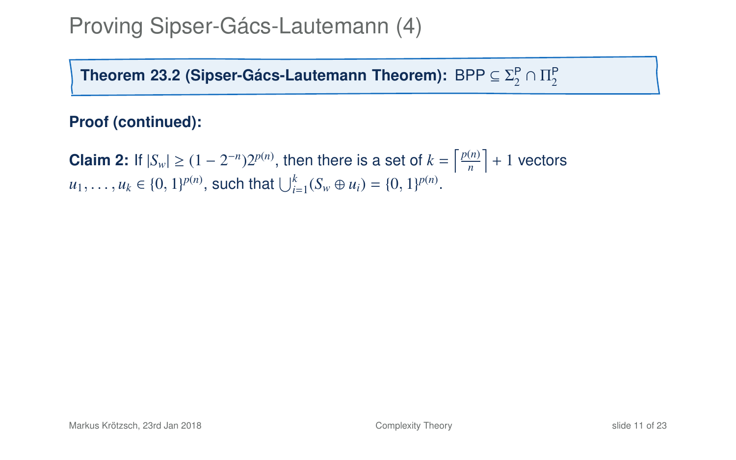Theorem 23[.2](#page-12-0) (Sipser-Gács-Lautemann Theorem):  $\mathsf{BPP} \subseteq \Sigma^\mathsf{P}_2 \cap \Pi^\mathsf{P}_2$ 

#### **Proof (continued):**

**Claim 2:** If  $|S_w| \ge (1 - 2^{-n})2^{p(n)}$ , then there is a set of  $k = \left\lceil \frac{p(n)}{n} \right\rceil$  $\left\lfloor \frac{(n)}{n} \right\rfloor + 1$  vectors  $u_1, \ldots, u_k \in \{0, 1\}^{p(n)},$  such that  $\bigcup_{i=1}^k (S_w \oplus u_i) = \{0, 1\}^{p(n)}.$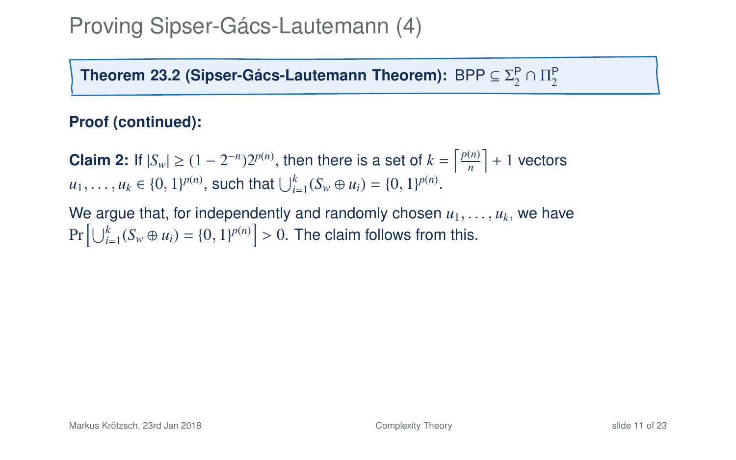Theorem 23[.2](#page-12-0) (Sipser-Gács-Lautemann Theorem):  $\mathsf{BPP} \subseteq \Sigma^\mathsf{P}_2 \cap \Pi^\mathsf{P}_2$ 

#### **Proof (continued):**

**Claim 2:** If  $|S_w| \ge (1 - 2^{-n})2^{p(n)}$ , then there is a set of  $k = \left\lceil \frac{p(n)}{n} \right\rceil$  $\left\lfloor \frac{(n)}{n} \right\rfloor + 1$  vectors  $u_1, \ldots, u_k \in \{0, 1\}^{p(n)},$  such that  $\bigcup_{i=1}^k (S_w \oplus u_i) = \{0, 1\}^{p(n)}.$ 

We argue that, for independently and randomly chosen  $u_1, \ldots, u_k$ , we have  $\Pr\left[\bigcup_{i=1}^k (S_w \oplus u_i) = \{0, 1\}^{p(n)}\right] > 0.$  The claim follows from this.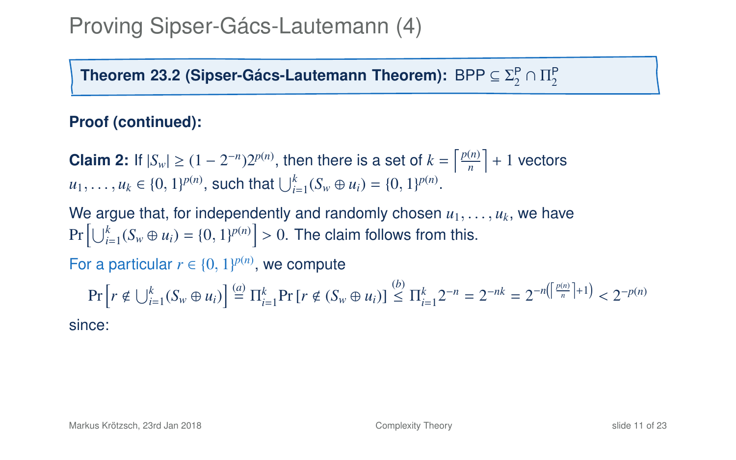Theorem 23[.2](#page-12-0) (Sipser-Gács-Lautemann Theorem):  $\mathsf{BPP} \subseteq \Sigma^\mathsf{P}_2 \cap \Pi^\mathsf{P}_2$ 

#### **Proof (continued):**

**Claim 2:** If  $|S_w| \ge (1 - 2^{-n})2^{p(n)}$ , then there is a set of  $k = \left\lceil \frac{p(n)}{n} \right\rceil$  $\left\lfloor \frac{(n)}{n} \right\rfloor + 1$  vectors  $u_1, \ldots, u_k \in \{0, 1\}^{p(n)},$  such that  $\bigcup_{i=1}^k (S_w \oplus u_i) = \{0, 1\}^{p(n)}.$ 

We argue that, for independently and randomly chosen  $u_1, \ldots, u_k$ , we have  $\Pr\left[\bigcup_{i=1}^k (S_w \oplus u_i) = \{0, 1\}^{p(n)}\right] > 0.$  The claim follows from this.

For a particular  $r \in \{0, 1\}^{p(n)}$ , we compute

$$
\Pr\left[r \notin \bigcup_{i=1}^{k} (S_w \oplus u_i)\right] \stackrel{(a)}{=} \Pi_{i=1}^{k} \Pr\left[r \notin (S_w \oplus u_i)\right] \stackrel{(b)}{\leq} \Pi_{i=1}^{k} 2^{-n} = 2^{-nk} = 2^{-n\left(\left\lfloor \frac{p(n)}{n} \right\rfloor + 1\right)} < 2^{-p(n)}
$$

since: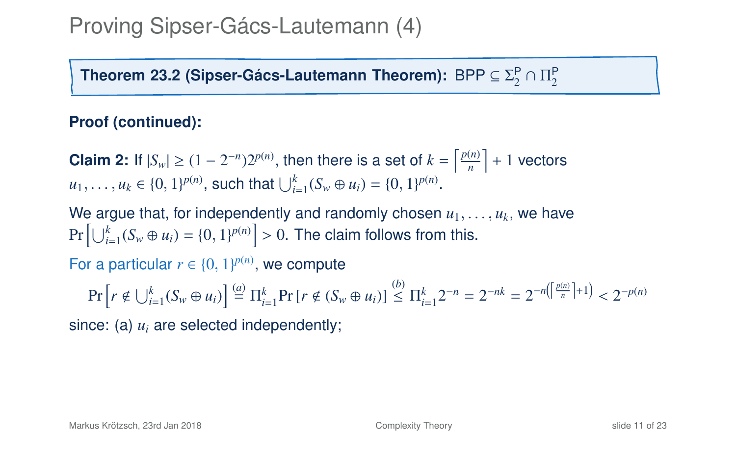Theorem 23[.2](#page-12-0) (Sipser-Gács-Lautemann Theorem):  $\mathsf{BPP} \subseteq \Sigma^\mathsf{P}_2 \cap \Pi^\mathsf{P}_2$ 

#### **Proof (continued):**

**Claim 2:** If  $|S_w| \ge (1 - 2^{-n})2^{p(n)}$ , then there is a set of  $k = \left\lceil \frac{p(n)}{n} \right\rceil$  $\left\lfloor \frac{(n)}{n} \right\rfloor + 1$  vectors  $u_1, \ldots, u_k \in \{0, 1\}^{p(n)},$  such that  $\bigcup_{i=1}^k (S_w \oplus u_i) = \{0, 1\}^{p(n)}.$ 

We argue that, for independently and randomly chosen  $u_1, \ldots, u_k$ , we have  $\Pr\left[\bigcup_{i=1}^k (S_w \oplus u_i) = \{0, 1\}^{p(n)}\right] > 0.$  The claim follows from this.

For a particular  $r \in \{0, 1\}^{p(n)}$ , we compute

$$
\Pr\left[r \notin \bigcup_{i=1}^{k} (S_w \oplus u_i)\right] \stackrel{(a)}{=} \Pi_{i=1}^{k} \Pr\left[r \notin (S_w \oplus u_i)\right] \stackrel{(b)}{\leq} \Pi_{i=1}^{k} 2^{-n} = 2^{-nk} = 2^{-n\left(\left\lfloor \frac{p(n)}{n} \right\rfloor + 1\right)} < 2^{-p(n)}
$$

since: (a) *u<sup>i</sup>* are selected independently;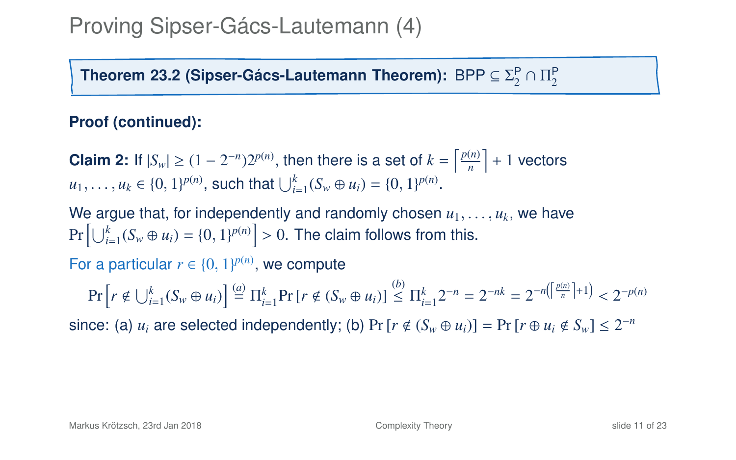Theorem 23[.2](#page-12-0) (Sipser-Gács-Lautemann Theorem):  $\mathsf{BPP} \subseteq \Sigma^\mathsf{P}_2 \cap \Pi^\mathsf{P}_2$ 

#### **Proof (continued):**

**Claim 2:** If  $|S_w| \ge (1 - 2^{-n})2^{p(n)}$ , then there is a set of  $k = \left\lceil \frac{p(n)}{n} \right\rceil$  $\left\lfloor \frac{(n)}{n} \right\rfloor + 1$  vectors  $u_1, \ldots, u_k \in \{0, 1\}^{p(n)},$  such that  $\bigcup_{i=1}^k (S_w \oplus u_i) = \{0, 1\}^{p(n)}.$ 

We argue that, for independently and randomly chosen  $u_1, \ldots, u_k$ , we have  $\Pr\left[\bigcup_{i=1}^k (S_w \oplus u_i) = \{0, 1\}^{p(n)}\right] > 0.$  The claim follows from this.

For a particular  $r \in \{0, 1\}^{p(n)}$ , we compute

 $\Pr\left[r \notin \bigcup_{i=1}^{k} (S_w \oplus u_i)\right] \stackrel{(a)}{=} \prod_{i=1}^{k} \Pr\left[r \notin (S_w \oplus u_i)\right] \stackrel{(b)}{\leq} \prod_{i=1}^{k} 2^{-n} = 2^{-nk} = 2^{-n\left(\left[\frac{p(n)}{n}\right]+1\right)} < 2^{-p(n)}$ 

since: (a)  $u_i$  are selected independently; (b) Pr [ $r \notin (S_w \oplus u_i)$ ] = Pr [ $r \oplus u_i \notin S_w$ ] ≤ 2<sup>-*n*</sup>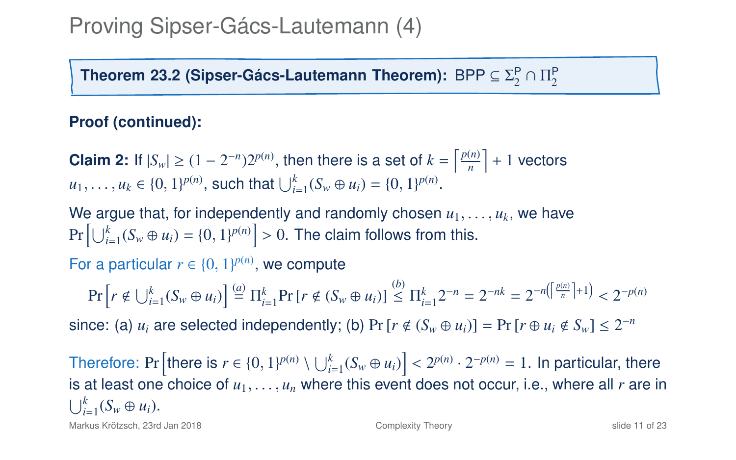Theorem 23[.2](#page-12-0) (Sipser-Gács-Lautemann Theorem):  $\mathsf{BPP} \subseteq \Sigma^\mathsf{P}_2 \cap \Pi^\mathsf{P}_2$ 

#### **Proof (continued):**

**Claim 2:** If  $|S_w| \ge (1 - 2^{-n})2^{p(n)}$ , then there is a set of  $k = \left\lceil \frac{p(n)}{n} \right\rceil$  $\left\lfloor \frac{(n)}{n} \right\rfloor + 1$  vectors  $u_1, \ldots, u_k \in \{0, 1\}^{p(n)},$  such that  $\bigcup_{i=1}^k (S_w \oplus u_i) = \{0, 1\}^{p(n)}.$ 

We argue that, for independently and randomly chosen  $u_1, \ldots, u_k$ , we have  $\Pr\left[\bigcup_{i=1}^k (S_w \oplus u_i) = \{0, 1\}^{p(n)}\right] > 0.$  The claim follows from this.

For a particular  $r \in \{0, 1\}^{p(n)}$ , we compute

 $\Pr\left[r \notin \bigcup_{i=1}^{k} (S_w \oplus u_i)\right] \stackrel{(a)}{=} \prod_{i=1}^{k} \Pr\left[r \notin (S_w \oplus u_i)\right] \stackrel{(b)}{\leq} \prod_{i=1}^{k} 2^{-n} = 2^{-nk} = 2^{-n\left(\left[\frac{p(n)}{n}\right]+1\right)} < 2^{-p(n)}$ 

since: (a)  $u_i$  are selected independently; (b) Pr [ $r \notin (S_w \oplus u_i)$ ] = Pr [ $r \oplus u_i \notin S_w$ ] ≤ 2<sup>-*n*</sup>

Therefore: Pr  $\left[\text{there is } r \in \{0, 1\}^{p(n)} \setminus \bigcup_{i=1}^{k} (S_w \oplus u_i)\right] < 2^{p(n)} \cdot 2^{-p(n)} = 1$ . In particular, there is at logar and open choice of *u* is at least one choice of  $u_1, \ldots, u_n$  where this event does not occur, i.e., where all *r* are in  $\bigcup_{i=1}^k (S_w \oplus u_i).$ 

Markus Krötzsch, 23rd Jan 2018 [Complexity Theory](#page-0-0) slide 11 of 23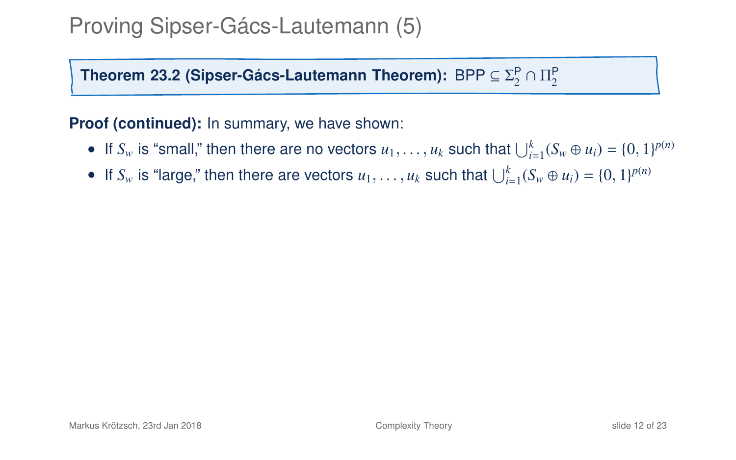Theorem 23[.2](#page-12-0) (Sipser-Gács-Lautemann Theorem):  $\mathsf{BPP} \subseteq \Sigma^\mathsf{P}_2 \cap \Pi^\mathsf{P}_2$ 

**Proof (continued):** In summary, we have shown:

- If  $S_w$  is "small," then there are no vectors  $u_1, \ldots, u_k$  such that  $\bigcup_{i=1}^k (S_w \oplus u_i) = \{0, 1\}^{p(n)}$
- If  $S_w$  is "large," then there are vectors  $u_1, \ldots, u_k$  such that  $\bigcup_{i=1}^k (S_w \oplus u_i) = \{0, 1\}^{p(n)}$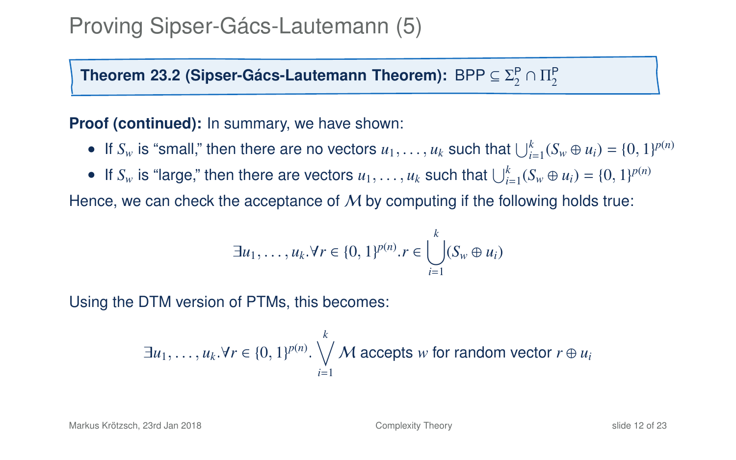Theorem 23[.2](#page-12-0) (Sipser-Gács-Lautemann Theorem):  $\mathsf{BPP} \subseteq \Sigma^\mathsf{P}_2 \cap \Pi^\mathsf{P}_2$ 

**Proof (continued):** In summary, we have shown:

- If  $S_w$  is "small," then there are no vectors  $u_1, \ldots, u_k$  such that  $\bigcup_{i=1}^k (S_w \oplus u_i) = \{0, 1\}^{p(n)}$
- If  $S_w$  is "large," then there are vectors  $u_1, \ldots, u_k$  such that  $\bigcup_{i=1}^k (S_w \oplus u_i) = \{0, 1\}^{p(n)}$

Hence, we can check the acceptance of  $M$  by computing if the following holds true:

$$
\exists u_1,\ldots,u_k.\forall r \in \{0,1\}^{p(n)}.\, r \in \bigcup_{i=1}^k (S_w\oplus u_i)
$$

Using the DTM version of PTMs, this becomes:

$$
\exists u_1, \ldots, u_k \forall r \in \{0, 1\}^{p(n)} \cdot \bigvee_{i=1}^k M \text{ accepts } w \text{ for random vector } r \oplus u_i
$$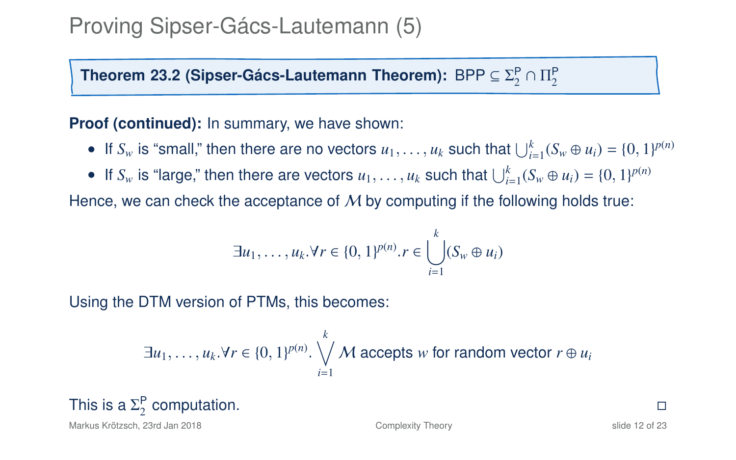Theorem 23[.2](#page-12-0) (Sipser-Gács-Lautemann Theorem):  $\mathsf{BPP} \subseteq \Sigma^\mathsf{P}_2 \cap \Pi^\mathsf{P}_2$ 

**Proof (continued):** In summary, we have shown:

- If  $S_w$  is "small," then there are no vectors  $u_1, \ldots, u_k$  such that  $\bigcup_{i=1}^k (S_w \oplus u_i) = \{0, 1\}^{p(n)}$
- If  $S_w$  is "large," then there are vectors  $u_1, \ldots, u_k$  such that  $\bigcup_{i=1}^k (S_w \oplus u_i) = \{0, 1\}^{p(n)}$

Hence, we can check the acceptance of  $M$  by computing if the following holds true:

$$
\exists u_1,\ldots,u_k.\forall r \in \{0,1\}^{p(n)}.\, r \in \bigcup_{i=1}^k (S_w\oplus u_i)
$$

Using the DTM version of PTMs, this becomes:

$$
\exists u_1, \ldots, u_k \forall r \in \{0, 1\}^{p(n)} \cdot \bigvee_{i=1}^k M \text{ accepts } w \text{ for random vector } r \oplus u_i
$$

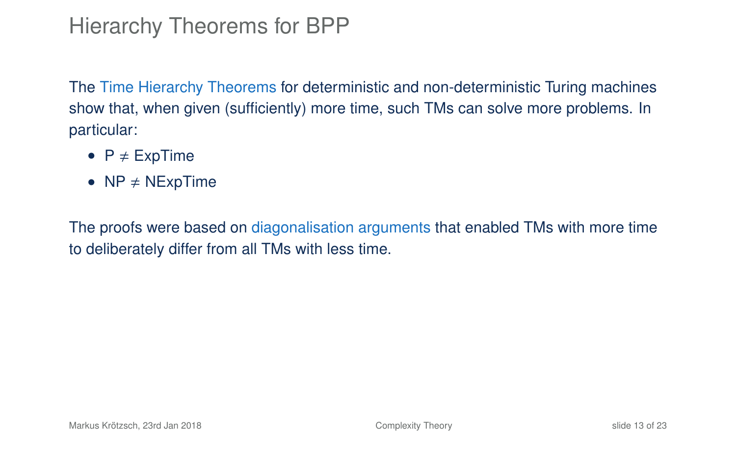# Hierarchy Theorems for BPP

The Time Hierarchy Theorems for deterministic and non-deterministic Turing machines show that, when given (sufficiently) more time, such TMs can solve more problems. In particular:

- $P \neq$  ExpTime
- $NP \neq NExpTime$

The proofs were based on diagonalisation arguments that enabled TMs with more time to deliberately differ from all TMs with less time.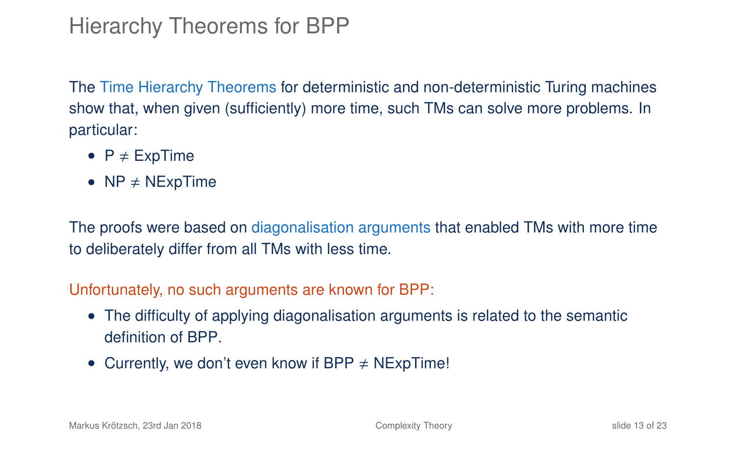# Hierarchy Theorems for BPP

The Time Hierarchy Theorems for deterministic and non-deterministic Turing machines show that, when given (sufficiently) more time, such TMs can solve more problems. In particular:

- $P \neq ExpTime$
- $NP \neq NExDTime$

The proofs were based on diagonalisation arguments that enabled TMs with more time to deliberately differ from all TMs with less time.

#### Unfortunately, no such arguments are known for BPP:

- The difficulty of applying diagonalisation arguments is related to the semantic definition of BPP.
- Currently, we don't even know if BPP  $\neq$  NExpTime!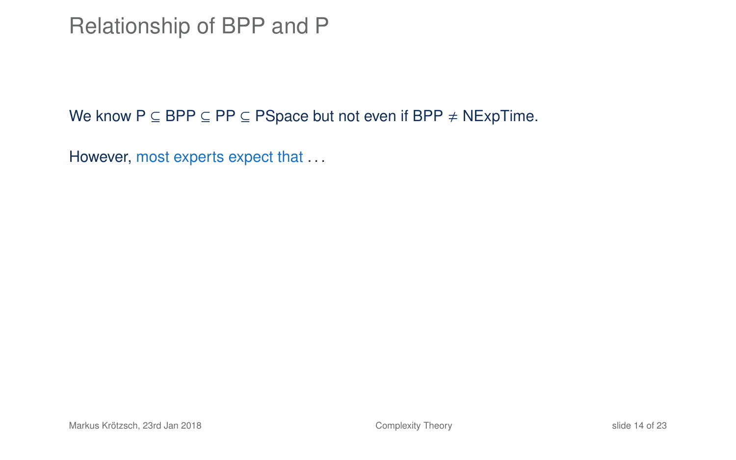### Relationship of BPP and P

We know  $P \subseteq BPP \subseteq PP \subseteq PSpace$  but not even if  $BPP \neq NExpTime$ .

However, most experts expect that ...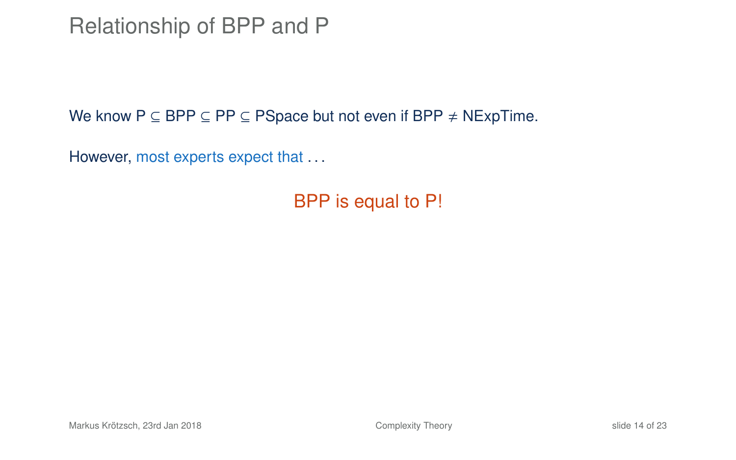Relationship of BPP and P

We know  $P \subseteq BPP \subseteq PP \subseteq PSpace$  but not even if  $BPP \neq NExpTime$ .

However, most experts expect that ...

BPP is equal to P!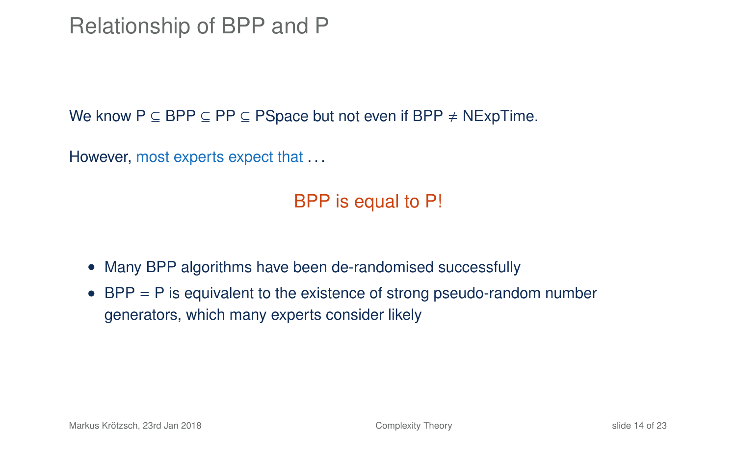Relationship of BPP and P

We know  $P \subseteq BPP \subseteq PP \subseteq PSpace$  but not even if  $BPP \neq NExpTime$ .

However, most experts expect that ...

BPP is equal to P!

- Many BPP algorithms have been de-randomised successfully
- BPP  $=$  P is equivalent to the existence of strong pseudo-random number generators, which many experts consider likely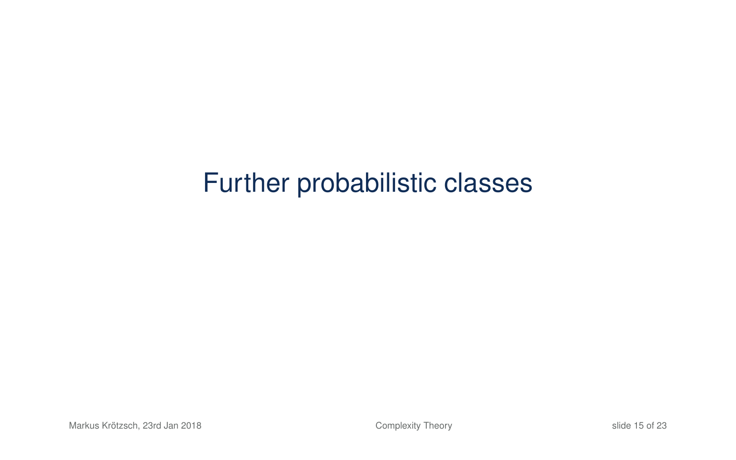# Further probabilistic classes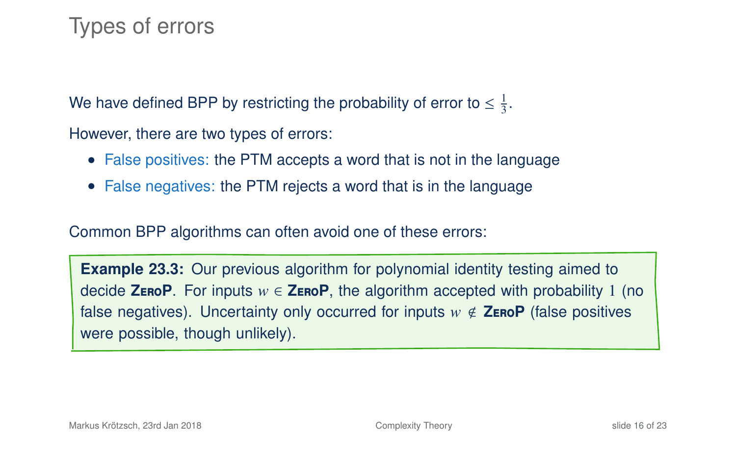# Types of errors

We have defined BPP by restricting the probability of error to  $\leq \frac{1}{3}$ .

However, there are two types of errors:

- False positives: the PTM accepts a word that is not in the language
- False negatives: the PTM rejects a word that is in the language

Common BPP algorithms can often avoid one of these errors:

**Example 23.3:** Our previous algorithm for polynomial identity testing aimed to decide **ZEROP**. For inputs  $w \in$  **ZEROP**, the algorithm accepted with probability 1 (no false negatives). Uncertainty only occurred for inputs  $w \notin \mathsf{ZeroP}$  (false positives were possible, though unlikely).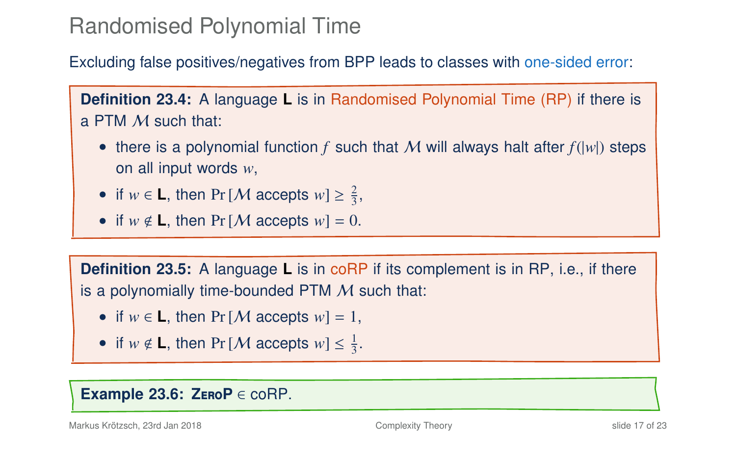# Randomised Polynomial Time

Excluding false positives/negatives from BPP leads to classes with one-sided error:

**Definition 23.4:** A language **L** is in Randomised Polynomial Time (RP) if there is a PTM M such that:

- there is a polynomial function f such that M will always halt after  $f(|w|)$  steps on all input words *w*,
- if  $w \in L$ , then Pr [*M* accepts  $w \geq \frac{2}{3}$ ,
- if  $w \notin L$ , then  $Pr[M \text{ accepts } w] = 0$ .

**Definition 23.5:** A language **L** is in coRP if its complement is in RP, i.e., if there is a polynomially time-bounded PTM  $M$  such that:

- if  $w \in L$ , then  $Pr[M \text{ accepts } w] = 1$ ,
- if  $w \notin L$ , then Pr [*M* accepts  $w \leq \frac{1}{3}$ .

#### **Example 23.6: Z**ero**P** ∈ coRP.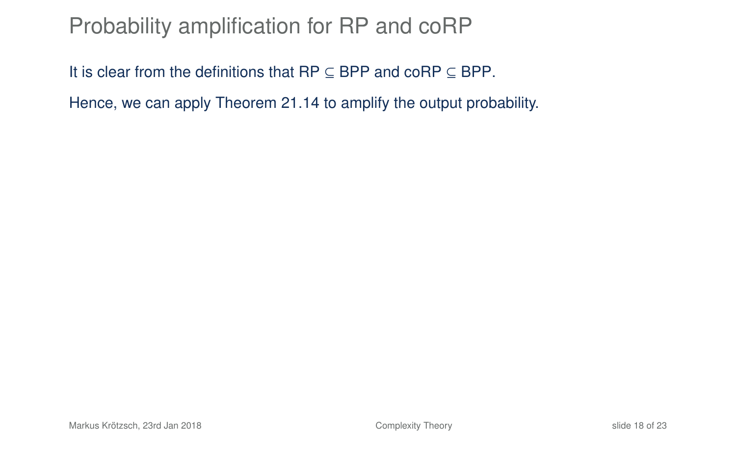# Probability amplification for RP and coRP

It is clear from the definitions that RP  $\subseteq$  BPP and coRP  $\subseteq$  BPP.

Hence, we can apply Theorem 21.14 to amplify the output probability.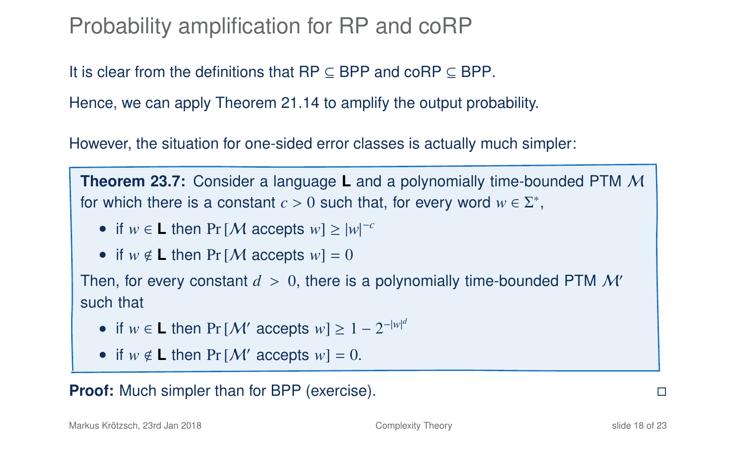Probability amplification for RP and coRP

It is clear from the definitions that  $RP \subseteq BPP$  and  $coRP \subseteq BPP$ .

Hence, we can apply Theorem 21.14 to amplify the output probability.

However, the situation for one-sided error classes is actually much simpler:

**Theorem 23.7:** Consider a language **L** and a polynomially time-bounded PTM M for which there is a constant  $c > 0$  such that, for every word  $w \in \Sigma^*$ ,

- if  $w \in L$  then Pr [*M* accepts  $w \ge |w|^{-c}$
- if  $w \notin L$  then  $Pr[M]$  accepts  $w = 0$

Then, for every constant  $d > 0$ , there is a polynomially time-bounded PTM  $\mathcal{M}'$ such that

- if  $w \in L$  then Pr  $[M'$  accepts  $w] \ge 1 2^{-|w|^d}$
- if  $w \notin L$  then  $Pr[M'$  accepts  $w] = 0$ .

**Proof:** Much simpler than for BPP (exercise).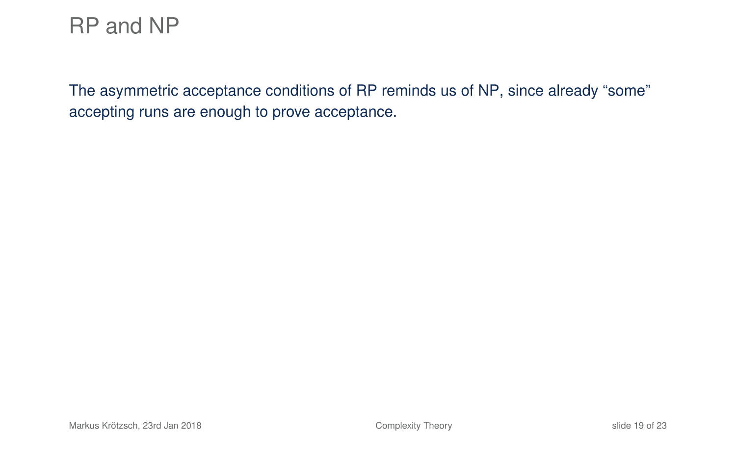The asymmetric acceptance conditions of RP reminds us of NP, since already "some" accepting runs are enough to prove acceptance.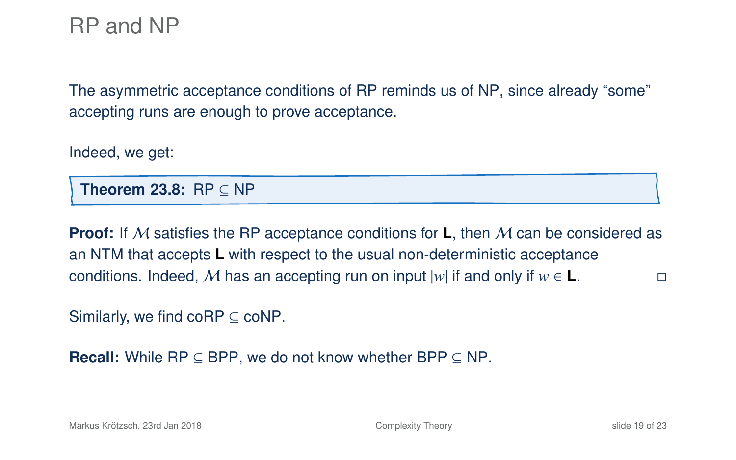The asymmetric acceptance conditions of RP reminds us of NP, since already "some" accepting runs are enough to prove acceptance.

Indeed, we get:

**Theorem 23.8:** RP ⊆ NP

**Proof:** If M satisfies the RP acceptance conditions for **L**, then M can be considered as an NTM that accepts **L** with respect to the usual non-deterministic acceptance conditions. Indeed, M has an accepting run on input  $|w|$  if and only if  $w \in L$ .

Similarly, we find  $coRP \subseteq coNP$ .

**Recall:** While  $RP \subseteq BPP$ , we do not know whether  $BPP \subseteq NP$ .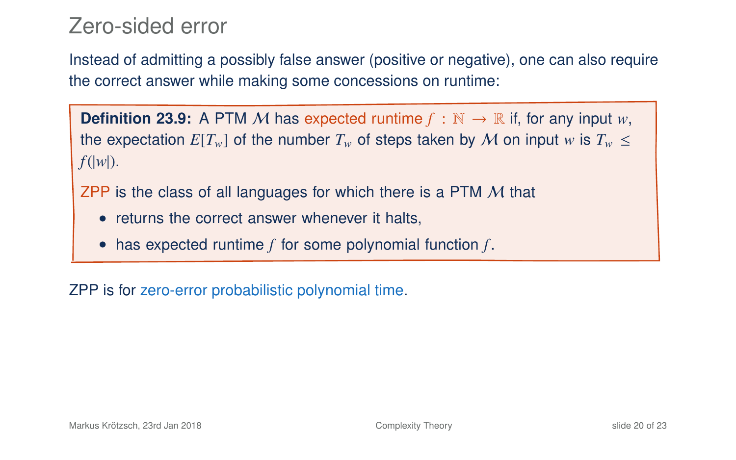### Zero-sided error

Instead of admitting a possibly false answer (positive or negative), one can also require the correct answer while making some concessions on runtime:

**Definition 23.9:** A PTM M has expected runtime  $f : \mathbb{N} \to \mathbb{R}$  if, for any input w, the expectation  $E[T_w]$  of the number  $T_w$  of steps taken by M on input w is  $T_w$  < *f*(|*w*|).

ZPP is the class of all languages for which there is a PTM M that

- returns the correct answer whenever it halts,
- has expected runtime *f* for some polynomial function *f* .

ZPP is for zero-error probabilistic polynomial time.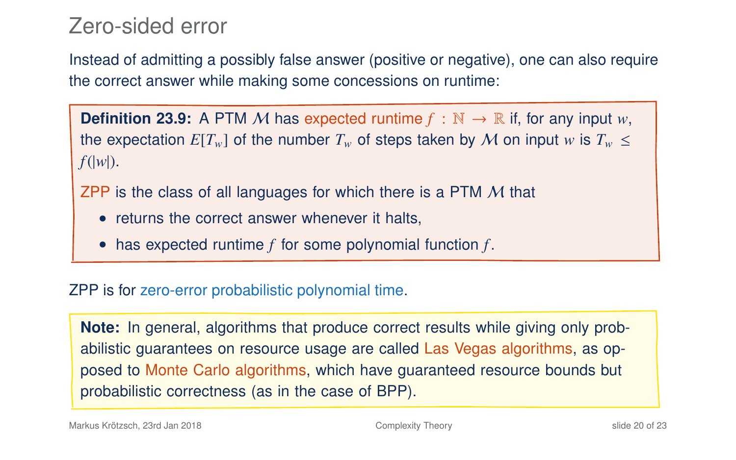### Zero-sided error

Instead of admitting a possibly false answer (positive or negative), one can also require the correct answer while making some concessions on runtime:

**Definition 23.9:** A PTM M has expected runtime  $f : \mathbb{N} \to \mathbb{R}$  if, for any input w, the expectation  $E[T_w]$  of the number  $T_w$  of steps taken by M on input *w* is  $T_w \leq$ *f*(|*w*|).

ZPP is the class of all languages for which there is a PTM M that

- returns the correct answer whenever it halts,
- has expected runtime *f* for some polynomial function *f* .

#### ZPP is for zero-error probabilistic polynomial time.

**Note:** In general, algorithms that produce correct results while giving only probabilistic guarantees on resource usage are called Las Vegas algorithms, as opposed to Monte Carlo algorithms, which have guaranteed resource bounds but probabilistic correctness (as in the case of BPP).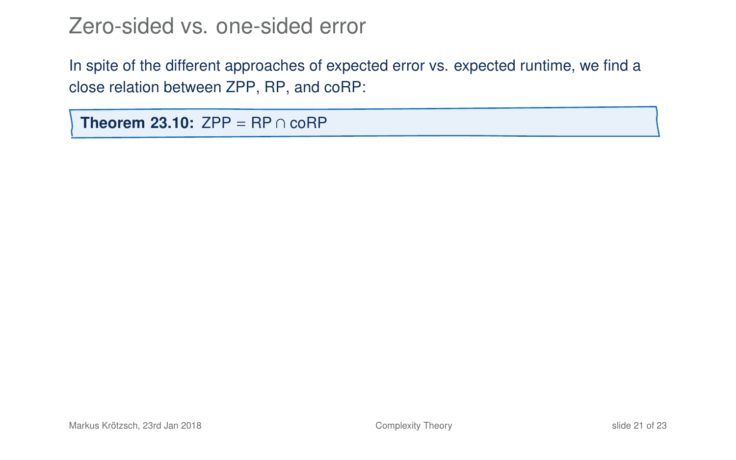In spite of the different approaches of expected error vs. expected runtime, we find a close relation between ZPP, RP, and coRP:

<span id="page-50-0"></span>**Theorem 23.10:**  $ZPP = RP \cap coRP$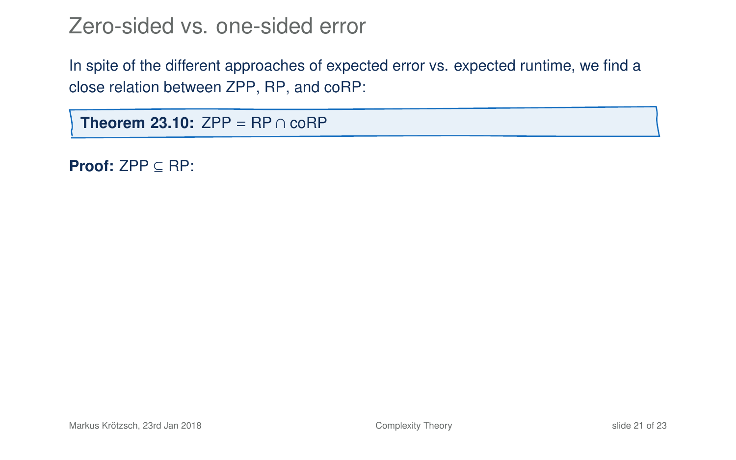In spite of the different approaches of expected error vs. expected runtime, we find a close relation between ZPP, RP, and coRP:

**Theorem 23.10:**  $ZPP = RP \cap coRP$ 

**Proof:** ZPP ⊆ RP: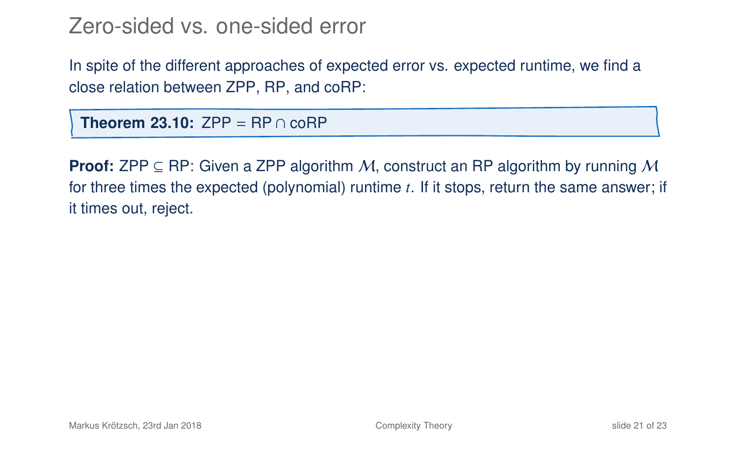In spite of the different approaches of expected error vs. expected runtime, we find a close relation between ZPP, RP, and coRP:

**Theorem 23.10:**  $ZPP = RP \cap coRP$ 

**Proof:** ZPP  $\subseteq$  RP: Given a ZPP algorithm M, construct an RP algorithm by running M for three times the expected (polynomial) runtime *t*. If it stops, return the same answer; if it times out, reject.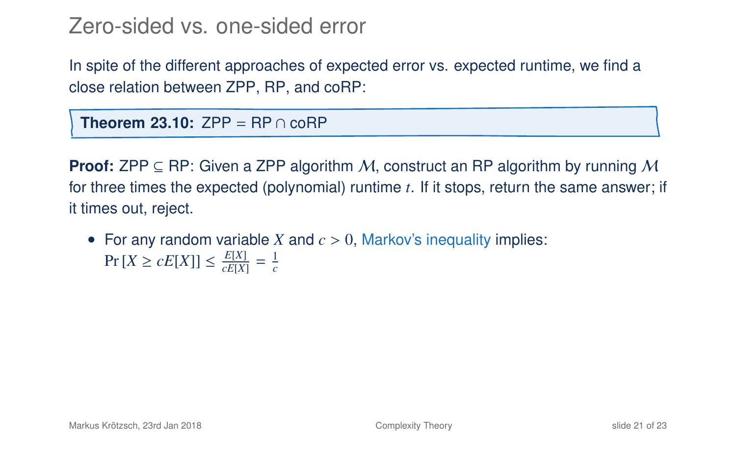In spite of the different approaches of expected error vs. expected runtime, we find a close relation between ZPP, RP, and coRP:

**Theorem 23.10:**  $ZPP = RP \cap coRP$ 

**Proof:** ZPP  $\subseteq$  RP: Given a ZPP algorithm M, construct an RP algorithm by running M for three times the expected (polynomial) runtime *t*. If it stops, return the same answer; if it times out, reject.

• For any random variable *X* and  $c > 0$ , Markov's inequality implies:  $Pr[X \ge cE[X]] \le \frac{E[X]}{cE[X]} = \frac{1}{c}$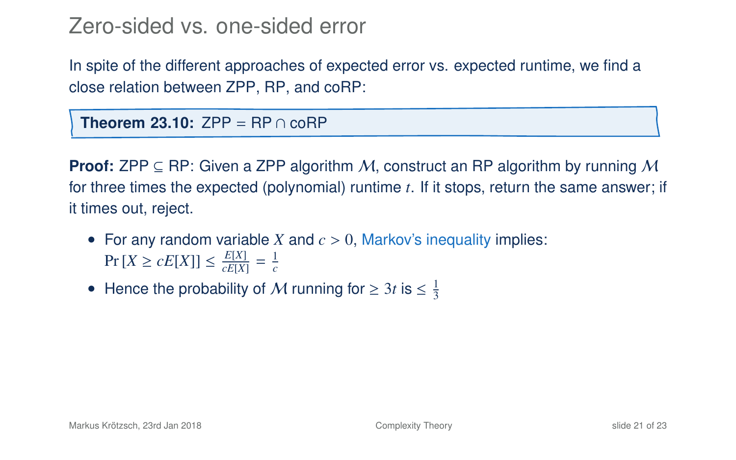In spite of the different approaches of expected error vs. expected runtime, we find a close relation between ZPP, RP, and coRP:

**Theorem 23.10:**  $ZPP = RP \cap coRP$ 

**Proof:** ZPP  $\subseteq$  RP: Given a ZPP algorithm M, construct an RP algorithm by running M for three times the expected (polynomial) runtime *t*. If it stops, return the same answer; if it times out, reject.

- For any random variable *X* and  $c > 0$ , Markov's inequality implies:  $Pr[X \ge cE[X]] \le \frac{E[X]}{cE[X]} = \frac{1}{c}$
- Hence the probability of M running for  $\geq 3t$  is  $\leq \frac{1}{3}$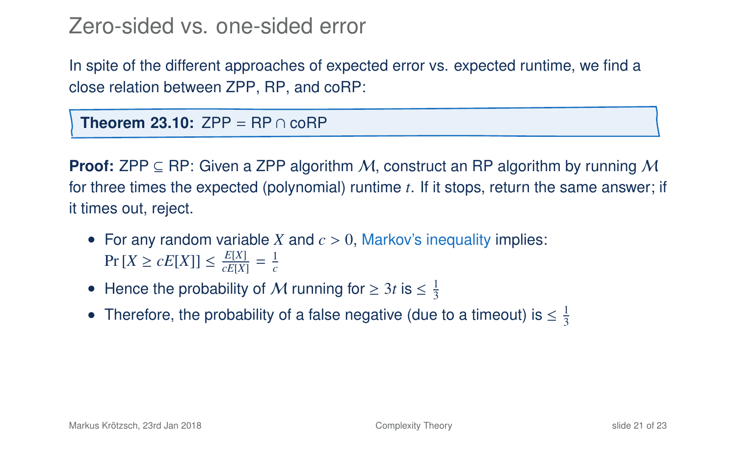In spite of the different approaches of expected error vs. expected runtime, we find a close relation between ZPP, RP, and coRP:

**Theorem 23.10:**  $ZPP = RP \cap coRP$ 

**Proof:** ZPP  $\subseteq$  RP: Given a ZPP algorithm M, construct an RP algorithm by running M for three times the expected (polynomial) runtime *t*. If it stops, return the same answer; if it times out, reject.

- For any random variable *X* and  $c > 0$ , Markov's inequality implies:  $Pr[X \ge cE[X]] \le \frac{E[X]}{cE[X]} = \frac{1}{c}$
- Hence the probability of M running for  $\geq 3t$  is  $\leq \frac{1}{3}$
- Therefore, the probability of a false negative (due to a timeout) is  $\leq \frac{1}{3}$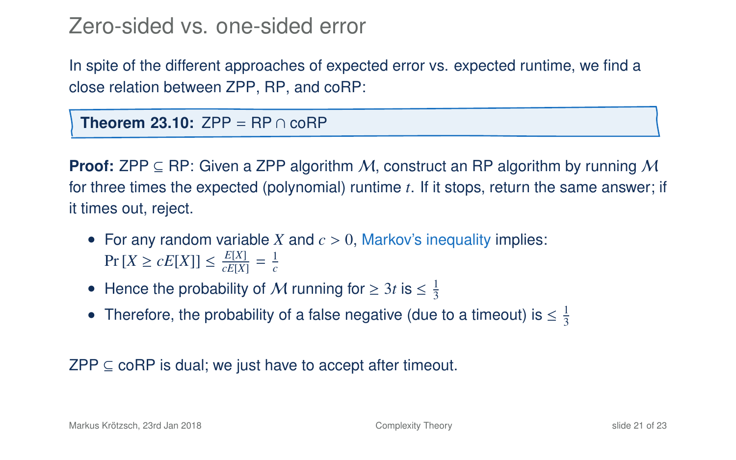In spite of the different approaches of expected error vs. expected runtime, we find a close relation between ZPP, RP, and coRP:

**Theorem 23.10:**  $ZPP = RP \cap coRP$ 

**Proof:** ZPP  $\subseteq$  RP: Given a ZPP algorithm M, construct an RP algorithm by running M for three times the expected (polynomial) runtime *t*. If it stops, return the same answer; if it times out, reject.

- For any random variable *X* and  $c > 0$ , Markov's inequality implies:  $Pr[X \ge cE[X]] \le \frac{E[X]}{cE[X]} = \frac{1}{c}$
- Hence the probability of M running for  $\geq 3t$  is  $\leq \frac{1}{3}$
- Therefore, the probability of a false negative (due to a timeout) is  $\leq \frac{1}{3}$

 $ZPP \subseteq \text{coRP}$  is dual; we just have to accept after timeout.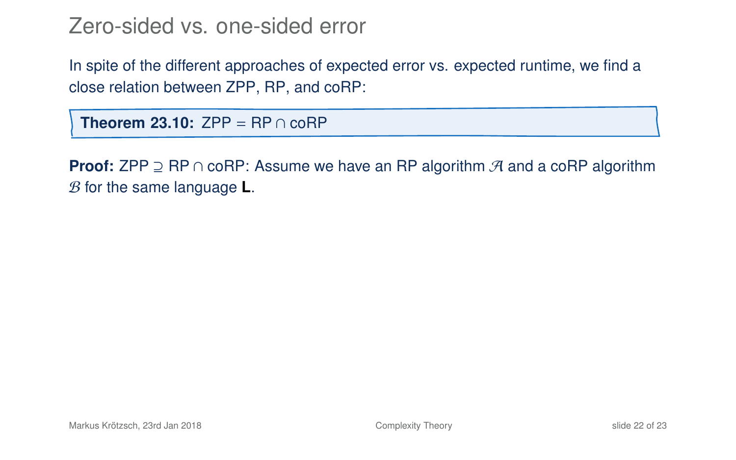In spite of the different approaches of expected error vs. expected runtime, we find a close relation between ZPP, RP, and coRP:

**Theorem 23[.10:](#page-50-0)**  $ZPP = RP \cap coRP$ 

**Proof:** ZPP ⊇ RP ∩ coRP: Assume we have an RP algorithm A and a coRP algorithm B for the same language **L**.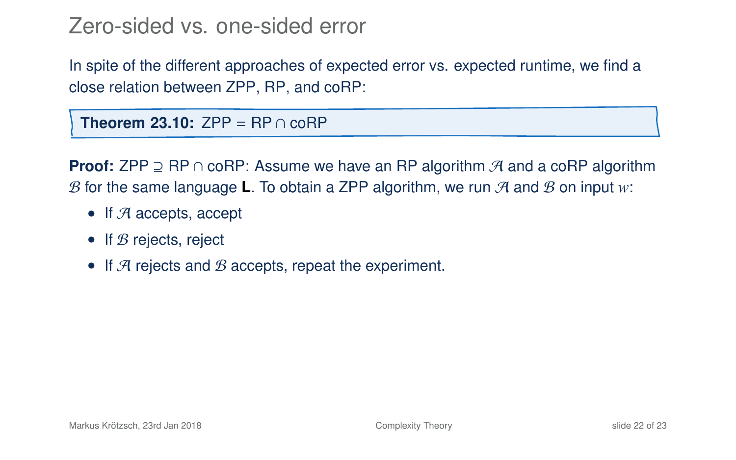In spite of the different approaches of expected error vs. expected runtime, we find a close relation between ZPP, RP, and coRP:

**Theorem 23[.10:](#page-50-0)**  $ZPP = RP \cap coRP$ 

**Proof:** ZPP ⊇ RP ∩ coRP: Assume we have an RP algorithm A and a coRP algorithm B for the same language **L**. To obtain a ZPP algorithm, we run  $\mathcal{A}$  and  $\mathcal{B}$  on input  $w$ :

- If  $A$  accepts, accept
- If  $B$  rejects, reject
- If  $\mathcal A$  rejects and  $\mathcal B$  accepts, repeat the experiment.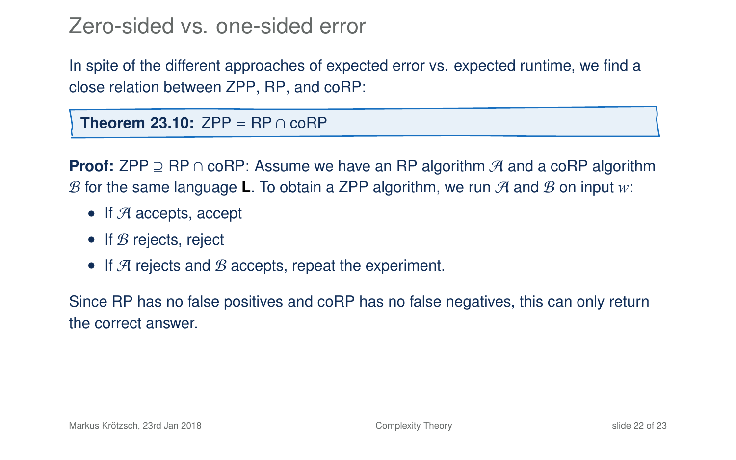In spite of the different approaches of expected error vs. expected runtime, we find a close relation between ZPP, RP, and coRP:

**Theorem 23[.10:](#page-50-0)** ZPP = RP ∩ coRP

**Proof:** ZPP ⊇ RP ∩ coRP: Assume we have an RP algorithm A and a coRP algorithm B for the same language **L**. To obtain a ZPP algorithm, we run  $\mathcal{A}$  and  $\mathcal{B}$  on input  $w$ :

- If  $A$  accepts, accept
- If  $B$  rejects, reject
- If  $A$  rejects and  $B$  accepts, repeat the experiment.

Since RP has no false positives and coRP has no false negatives, this can only return the correct answer.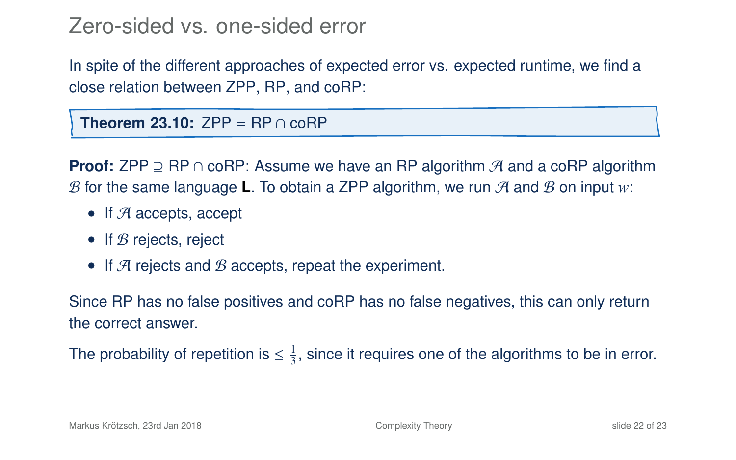In spite of the different approaches of expected error vs. expected runtime, we find a close relation between ZPP, RP, and coRP:

**Theorem 23[.10:](#page-50-0)**  $ZPP = RP \cap coRP$ 

**Proof:** ZPP ⊇ RP ∩ coRP: Assume we have an RP algorithm A and a coRP algorithm B for the same language **L**. To obtain a ZPP algorithm, we run  $\mathcal{A}$  and  $\mathcal{B}$  on input  $w$ :

- If  $A$  accepts, accept
- If  $B$  rejects, reject
- If  $A$  rejects and  $B$  accepts, repeat the experiment.

Since RP has no false positives and coRP has no false negatives, this can only return the correct answer.

The probability of repetition is  $\leq \frac{1}{3}$ , since it requires one of the algorithms to be in error.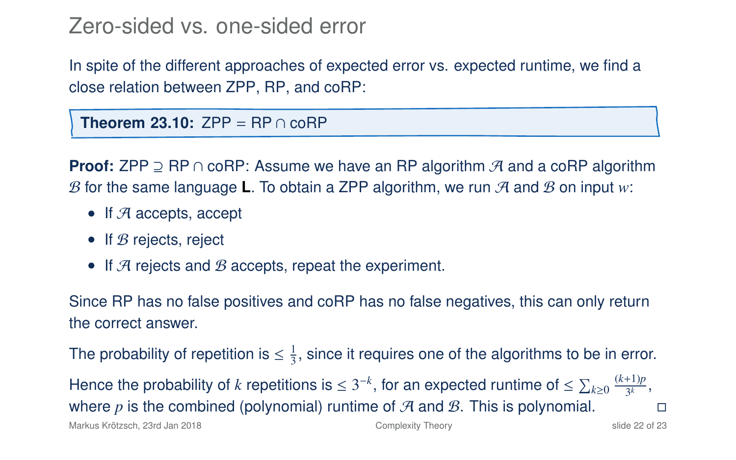In spite of the different approaches of expected error vs. expected runtime, we find a close relation between ZPP, RP, and coRP:

**Theorem 23[.10:](#page-50-0)**  $ZPP = RP \cap coRP$ 

**Proof:** ZPP ⊇ RP ∩ coRP: Assume we have an RP algorithm A and a coRP algorithm B for the same language **L**. To obtain a ZPP algorithm, we run  $\mathcal{A}$  and  $\mathcal{B}$  on input  $w$ :

- If  $A$  accepts, accept
- If  $B$  rejects, reject
- If  $\mathcal A$  rejects and  $\mathcal B$  accepts, repeat the experiment.

Since RP has no false positives and coRP has no false negatives, this can only return the correct answer.

The probability of repetition is  $\leq \frac{1}{3}$ , since it requires one of the algorithms to be in error.

Hence the probability of *k* repetitions is  $\leq 3^{-k}$ , for an expected runtime of  $\leq \sum_{k\geq 0} \frac{(k+1)p}{3^k}$  $\frac{f(1)p}{3^k},$ where *p* is the combined (polynomial) runtime of  $\mathcal A$  and  $\mathcal B$ . This is polynomial.

Markus Krötzsch, 23rd Jan 2018 [Complexity Theory](#page-0-0) slide 22 of 23